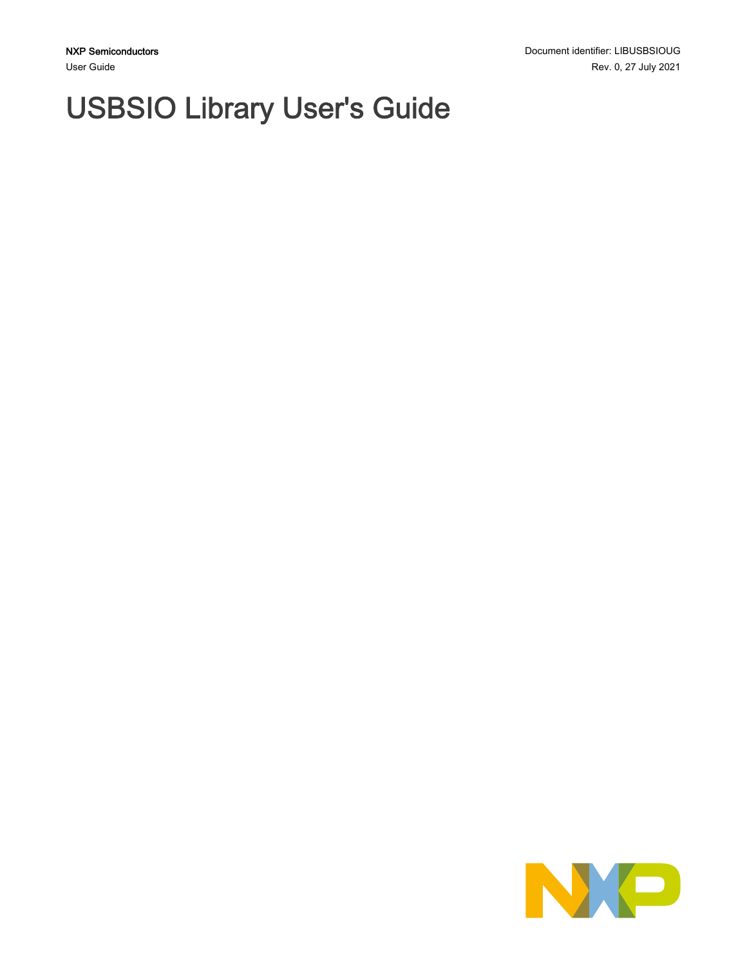# USBSIO Library User's Guide

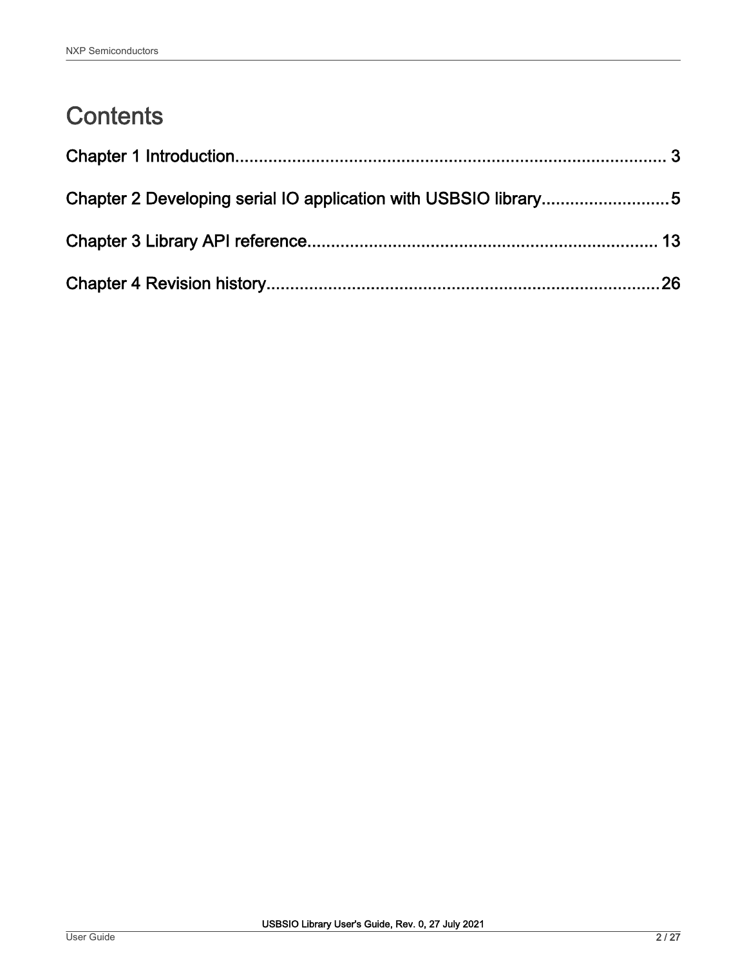# **Contents**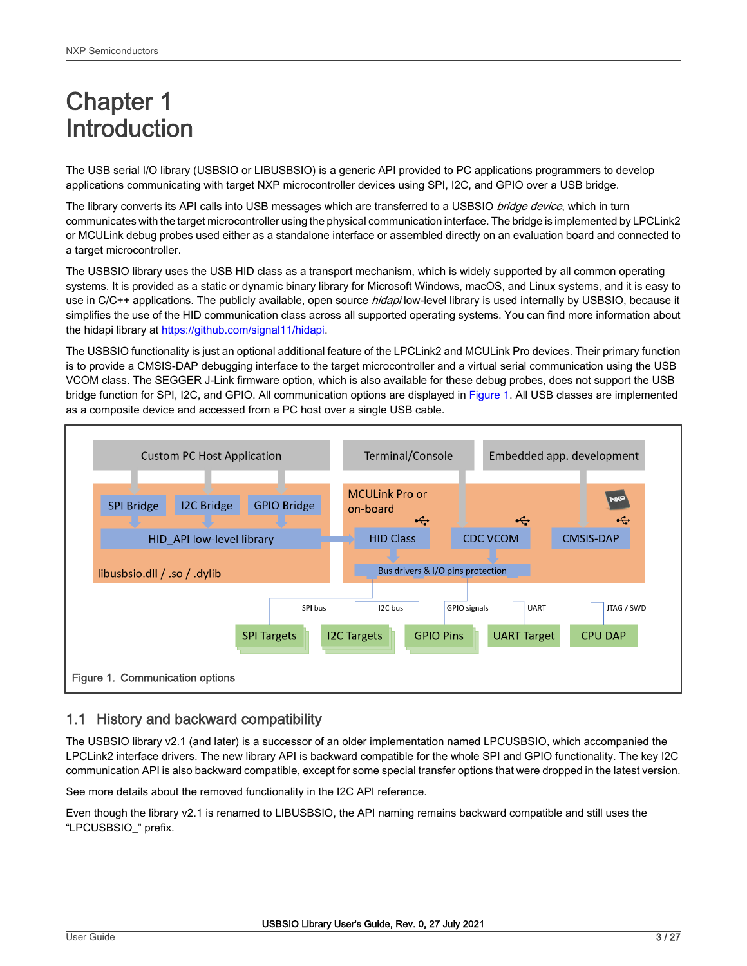# <span id="page-2-0"></span>Chapter 1 Introduction

The USB serial I/O library (USBSIO or LIBUSBSIO) is a generic API provided to PC applications programmers to develop applications communicating with target NXP microcontroller devices using SPI, I2C, and GPIO over a USB bridge.

The library converts its API calls into USB messages which are transferred to a USBSIO bridge device, which in turn communicates with the target microcontroller using the physical communication interface. The bridge is implemented by LPCLink2 or MCULink debug probes used either as a standalone interface or assembled directly on an evaluation board and connected to a target microcontroller.

The USBSIO library uses the USB HID class as a transport mechanism, which is widely supported by all common operating systems. It is provided as a static or dynamic binary library for Microsoft Windows, macOS, and Linux systems, and it is easy to use in C/C++ applications. The publicly available, open source hidapi low-level library is used internally by USBSIO, because it simplifies the use of the HID communication class across all supported operating systems. You can find more information about the hidapi library at <https://github.com/signal11/hidapi>.

The USBSIO functionality is just an optional additional feature of the LPCLink2 and MCULink Pro devices. Their primary function is to provide a CMSIS-DAP debugging interface to the target microcontroller and a virtual serial communication using the USB VCOM class. The SEGGER J-Link firmware option, which is also available for these debug probes, does not support the USB bridge function for SPI, I2C, and GPIO. All communication options are displayed in Figure 1. All USB classes are implemented as a composite device and accessed from a PC host over a single USB cable.



# 1.1 History and backward compatibility

The USBSIO library v2.1 (and later) is a successor of an older implementation named LPCUSBSIO, which accompanied the LPCLink2 interface drivers. The new library API is backward compatible for the whole SPI and GPIO functionality. The key I2C communication API is also backward compatible, except for some special transfer options that were dropped in the latest version.

See more details about the removed functionality in the I2C API reference.

Even though the library v2.1 is renamed to LIBUSBSIO, the API naming remains backward compatible and still uses the "LPCUSBSIO\_" prefix.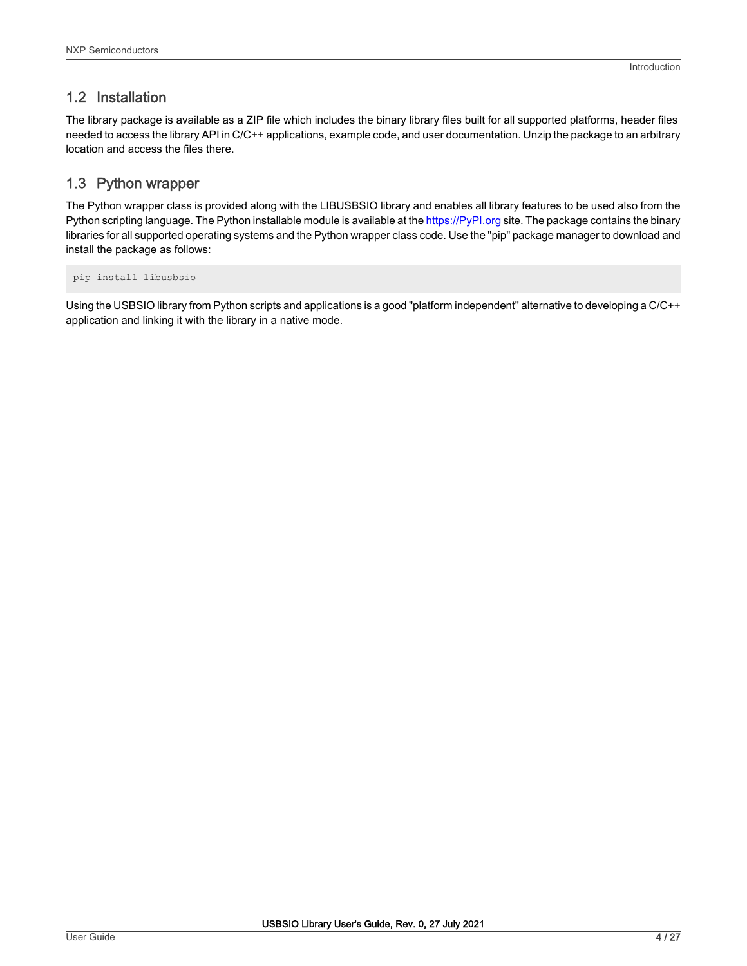# 1.2 Installation

The library package is available as a ZIP file which includes the binary library files built for all supported platforms, header files needed to access the library API in C/C++ applications, example code, and user documentation. Unzip the package to an arbitrary location and access the files there.

# 1.3 Python wrapper

The Python wrapper class is provided along with the LIBUSBSIO library and enables all library features to be used also from the Python scripting language. The Python installable module is available at the<https://PyPI.org> site. The package contains the binary libraries for all supported operating systems and the Python wrapper class code. Use the "pip" package manager to download and install the package as follows:

pip install libusbsio

Using the USBSIO library from Python scripts and applications is a good "platform independent" alternative to developing a C/C++ application and linking it with the library in a native mode.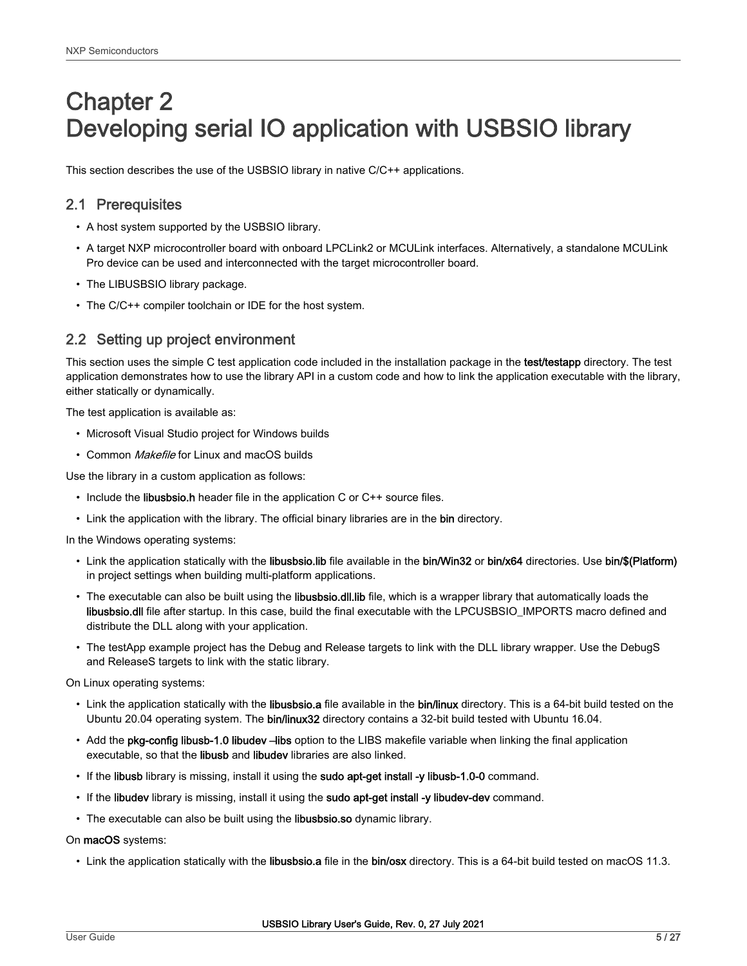# <span id="page-4-0"></span>Chapter 2 Developing serial IO application with USBSIO library

This section describes the use of the USBSIO library in native C/C++ applications.

# 2.1 Prerequisites

- A host system supported by the USBSIO library.
- A target NXP microcontroller board with onboard LPCLink2 or MCULink interfaces. Alternatively, a standalone MCULink Pro device can be used and interconnected with the target microcontroller board.
- The LIBUSBSIO library package.
- The C/C++ compiler toolchain or IDE for the host system.

# 2.2 Setting up project environment

This section uses the simple C test application code included in the installation package in the test/testapp directory. The test application demonstrates how to use the library API in a custom code and how to link the application executable with the library, either statically or dynamically.

The test application is available as:

- Microsoft Visual Studio project for Windows builds
- Common Makefile for Linux and macOS builds

Use the library in a custom application as follows:

- Include the libusbsio.h header file in the application C or C++ source files.
- Link the application with the library. The official binary libraries are in the bin directory.

In the Windows operating systems:

- Link the application statically with the libusbsio.lib file available in the bin/Win32 or bin/x64 directories. Use bin/\$(Platform) in project settings when building multi-platform applications.
- The executable can also be built using the libusbsio.dll.lib file, which is a wrapper library that automatically loads the libusbsio.dll file after startup. In this case, build the final executable with the LPCUSBSIO\_IMPORTS macro defined and distribute the DLL along with your application.
- The testApp example project has the Debug and Release targets to link with the DLL library wrapper. Use the DebugS and ReleaseS targets to link with the static library.

On Linux operating systems:

- Link the application statically with the libusbsio.a file available in the bin/linux directory. This is a 64-bit build tested on the Ubuntu 20.04 operating system. The bin/linux32 directory contains a 32-bit build tested with Ubuntu 16.04.
- Add the pkg-config libusb-1.0 libudev –libs option to the LIBS makefile variable when linking the final application executable, so that the libusb and libudev libraries are also linked.
- If the libusb library is missing, install it using the sudo apt-get install -y libusb-1.0-0 command.
- If the libudev library is missing, install it using the sudo apt-get install -y libudev-dev command.
- The executable can also be built using the libusbsio.so dynamic library.

On macOS systems:

• Link the application statically with the libusbsio.a file in the bin/osx directory. This is a 64-bit build tested on macOS 11.3.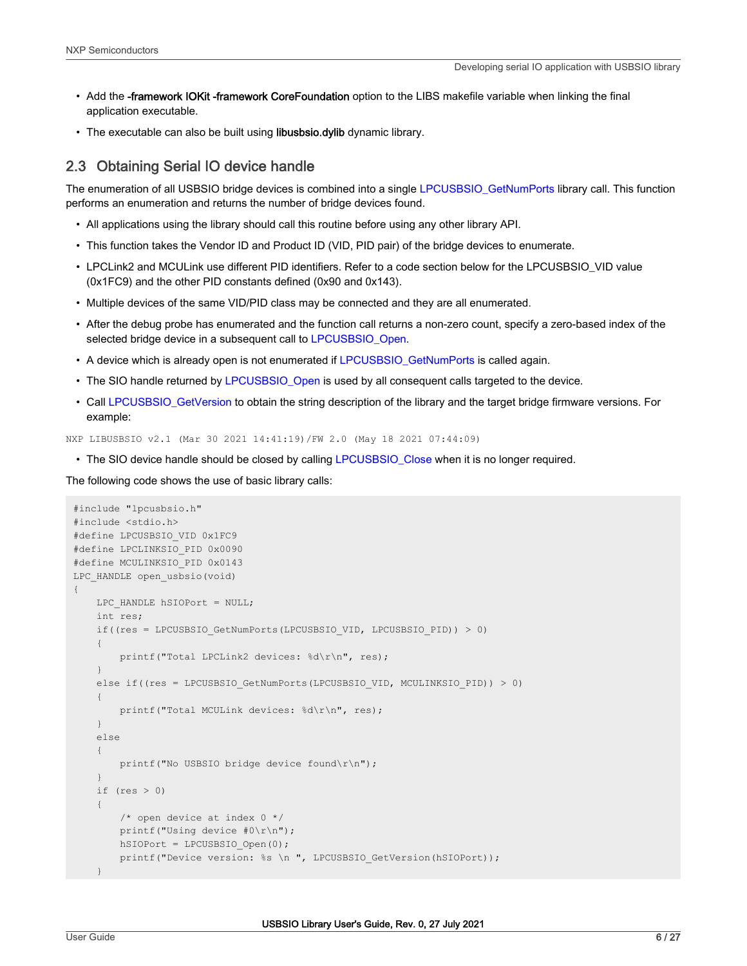- Add the -framework IOKit -framework CoreFoundation option to the LIBS makefile variable when linking the final application executable.
- The executable can also be built using libusbsio.dylib dynamic library.

# 2.3 Obtaining Serial IO device handle

The enumeration of all USBSIO bridge devices is combined into a single [LPCUSBSIO\\_GetNumPorts](#page-12-0) library call. This function performs an enumeration and returns the number of bridge devices found.

- All applications using the library should call this routine before using any other library API.
- This function takes the Vendor ID and Product ID (VID, PID pair) of the bridge devices to enumerate.
- LPCLink2 and MCULink use different PID identifiers. Refer to a code section below for the LPCUSBSIO\_VID value (0x1FC9) and the other PID constants defined (0x90 and 0x143).
- Multiple devices of the same VID/PID class may be connected and they are all enumerated.
- After the debug probe has enumerated and the function call returns a non-zero count, specify a zero-based index of the selected bridge device in a subsequent call to [LPCUSBSIO\\_Open](#page-13-0).
- A device which is already open is not enumerated if [LPCUSBSIO\\_GetNumPorts](#page-12-0) is called again.
- The SIO handle returned by [LPCUSBSIO\\_Open](#page-13-0) is used by all consequent calls targeted to the device.
- Call [LPCUSBSIO\\_GetVersion](#page-13-0) to obtain the string description of the library and the target bridge firmware versions. For example:

NXP LIBUSBSIO v2.1 (Mar 30 2021 14:41:19)/FW 2.0 (May 18 2021 07:44:09)

• The SIO device handle should be closed by calling [LPCUSBSIO\\_Close](#page-13-0) when it is no longer required.

The following code shows the use of basic library calls:

```
#include "lpcusbsio.h"
#include <stdio.h>
#define LPCUSBSIO_VID 0x1FC9
#define LPCLINKSIO_PID 0x0090
#define MCULINKSIO_PID 0x0143
LPC HANDLE open usbsio(void)
{
    LPC HANDLE hSIOPort = NULL;
     int res;
     if((res = LPCUSBSIO_GetNumPorts(LPCUSBSIO_VID, LPCUSBSIO_PID)) > 0)
\left\{\begin{array}{ccc} \end{array}\right\} printf("Total LPCLink2 devices: %d\r\n", res);
     }
     else if((res = LPCUSBSIO_GetNumPorts(LPCUSBSIO_VID, MCULINKSIO_PID)) > 0)
     {
          printf("Total MCULink devices: %d\r\n", res);
     }
     else
     {
        printf("No USBSIO bridge device found\r\n");
     }
     if (res > 0)
\left\{\begin{array}{ccc} \end{array}\right\} /* open device at index 0 */
         printf("Using device #0\r\n");
        hSIOPort = LPCUSBSIO Open(0);printf("Device version: %s \n ", LPCUSBSIO_GetVersion(hSIOPort));
 }
```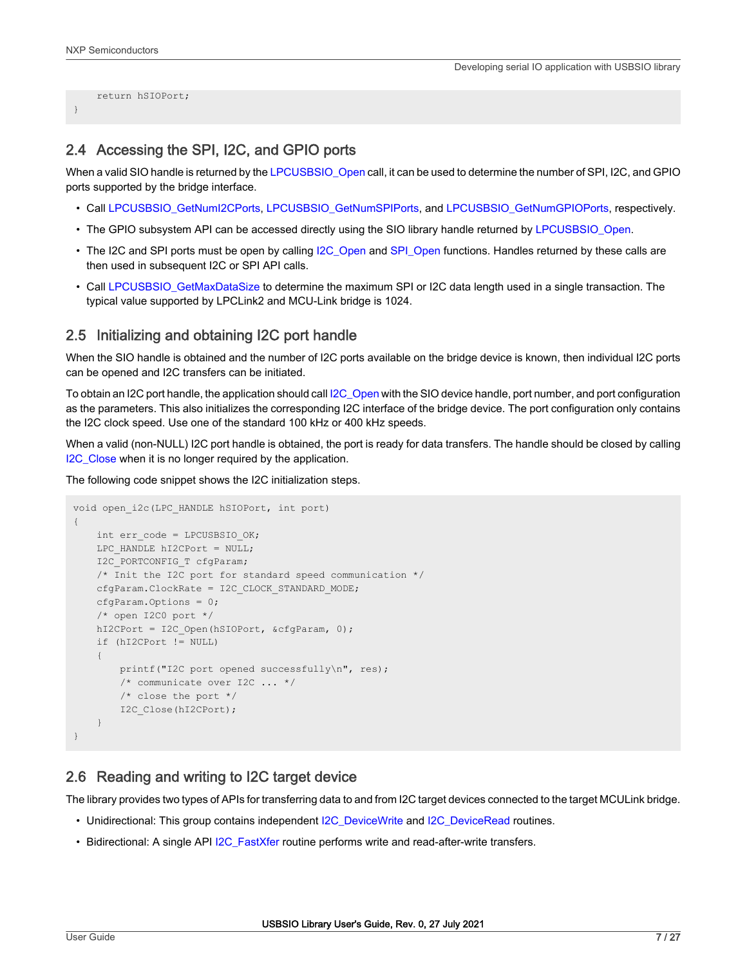}

```
 return hSIOPort;
```
# 2.4 Accessing the SPI, I2C, and GPIO ports

When a valid SIO handle is returned by the [LPCUSBSIO\\_Open](#page-13-0) call, it can be used to determine the number of SPI, I2C, and GPIO ports supported by the bridge interface.

- Call [LPCUSBSIO\\_GetNumI2CPorts,](#page-13-0) [LPCUSBSIO\\_GetNumSPIPorts,](#page-14-0) and [LPCUSBSIO\\_GetNumGPIOPorts](#page-14-0), respectively.
- The GPIO subsystem API can be accessed directly using the SIO library handle returned by LPCUSBSIO Open.
- The I2C and SPI ports must be open by calling [I2C\\_Open](#page-15-0) and [SPI\\_Open](#page-18-0) functions. Handles returned by these calls are then used in subsequent I2C or SPI API calls.
- Call [LPCUSBSIO\\_GetMaxDataSize](#page-14-0) to determine the maximum SPI or I2C data length used in a single transaction. The typical value supported by LPCLink2 and MCU-Link bridge is 1024.

## 2.5 Initializing and obtaining I2C port handle

When the SIO handle is obtained and the number of I2C ports available on the bridge device is known, then individual I2C ports can be opened and I2C transfers can be initiated.

To obtain an I2C port handle, the application should call [I2C\\_Open](#page-15-0) with the SIO device handle, port number, and port configuration as the parameters. This also initializes the corresponding I2C interface of the bridge device. The port configuration only contains the I2C clock speed. Use one of the standard 100 kHz or 400 kHz speeds.

When a valid (non-NULL) I2C port handle is obtained, the port is ready for data transfers. The handle should be closed by calling [I2C\\_Close](#page-16-0) when it is no longer required by the application.

The following code snippet shows the I2C initialization steps.

```
void open_i2c(LPC_HANDLE hSIOPort, int port)
{
    int err code = LPCUSBSIO OK;
    LPC HANDLE hI2CPort = NULL;
   I2C_PORTCONFIG_T cfgParam;
     /* Init the I2C port for standard speed communication */
    cfgParam.ClockRate = I2C_CLOCK_STANDARD_MODE;
     cfgParam.Options = 0;
     /* open I2C0 port */
    hI2CPort = I2C Open(hSIOPort, &cfgParam, 0);
     if (hI2CPort != NULL)
\left\{\begin{array}{ccc} \end{array}\right\} printf("I2C port opened successfully\n", res);
         /* communicate over I2C ... */
         /* close the port */
         I2C_Close(hI2CPort);
     }
}
```
## 2.6 Reading and writing to I2C target device

The library provides two types of APIs for transferring data to and from I2C target devices connected to the target MCULink bridge.

- Unidirectional: This group contains independent I2C DeviceWrite and I2C DeviceRead routines.
- Bidirectional: A single API [I2C\\_FastXfer](#page-17-0) routine performs write and read-after-write transfers.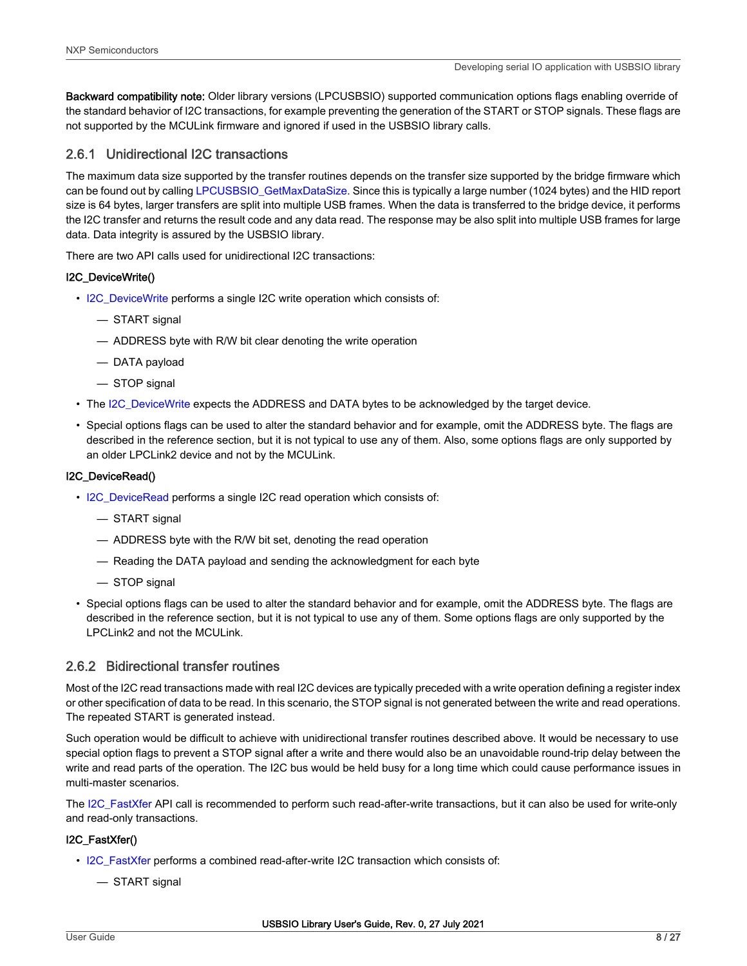Backward compatibility note: Older library versions (LPCUSBSIO) supported communication options flags enabling override of the standard behavior of I2C transactions, for example preventing the generation of the START or STOP signals. These flags are not supported by the MCULink firmware and ignored if used in the USBSIO library calls.

# 2.6.1 Unidirectional I2C transactions

The maximum data size supported by the transfer routines depends on the transfer size supported by the bridge firmware which can be found out by calling [LPCUSBSIO\\_GetMaxDataSize.](#page-14-0) Since this is typically a large number (1024 bytes) and the HID report size is 64 bytes, larger transfers are split into multiple USB frames. When the data is transferred to the bridge device, it performs the I2C transfer and returns the result code and any data read. The response may be also split into multiple USB frames for large data. Data integrity is assured by the USBSIO library.

There are two API calls used for unidirectional I2C transactions:

## I2C\_DeviceWrite()

- [I2C\\_DeviceWrite](#page-17-0) performs a single I2C write operation which consists of:
	- START signal
	- ADDRESS byte with R/W bit clear denoting the write operation
	- DATA payload
	- STOP signal
- The [I2C\\_DeviceWrite](#page-17-0) expects the ADDRESS and DATA bytes to be acknowledged by the target device.
- Special options flags can be used to alter the standard behavior and for example, omit the ADDRESS byte. The flags are described in the reference section, but it is not typical to use any of them. Also, some options flags are only supported by an older LPCLink2 device and not by the MCULink.

## I2C\_DeviceRead()

- [I2C\\_DeviceRead](#page-16-0) performs a single I2C read operation which consists of:
	- START signal
	- ADDRESS byte with the R/W bit set, denoting the read operation
	- Reading the DATA payload and sending the acknowledgment for each byte
	- STOP signal
- Special options flags can be used to alter the standard behavior and for example, omit the ADDRESS byte. The flags are described in the reference section, but it is not typical to use any of them. Some options flags are only supported by the LPCLink2 and not the MCULink.

## 2.6.2 Bidirectional transfer routines

Most of the I2C read transactions made with real I2C devices are typically preceded with a write operation defining a register index or other specification of data to be read. In this scenario, the STOP signal is not generated between the write and read operations. The repeated START is generated instead.

Such operation would be difficult to achieve with unidirectional transfer routines described above. It would be necessary to use special option flags to prevent a STOP signal after a write and there would also be an unavoidable round-trip delay between the write and read parts of the operation. The I2C bus would be held busy for a long time which could cause performance issues in multi-master scenarios.

The [I2C\\_FastXfer](#page-17-0) API call is recommended to perform such read-after-write transactions, but it can also be used for write-only and read-only transactions.

## I2C\_FastXfer()

- [I2C\\_FastXfer](#page-17-0) performs a combined read-after-write I2C transaction which consists of:
	- START signal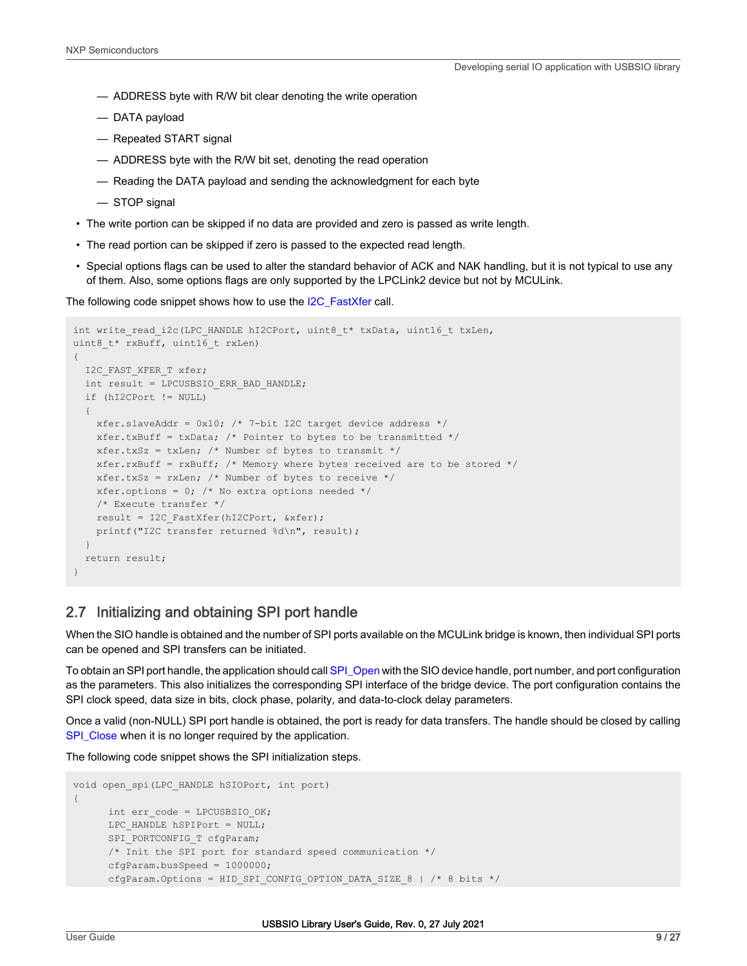- ADDRESS byte with R/W bit clear denoting the write operation
- DATA payload
- Repeated START signal
- ADDRESS byte with the R/W bit set, denoting the read operation
- Reading the DATA payload and sending the acknowledgment for each byte
- STOP signal
- The write portion can be skipped if no data are provided and zero is passed as write length.
- The read portion can be skipped if zero is passed to the expected read length.
- Special options flags can be used to alter the standard behavior of ACK and NAK handling, but it is not typical to use any of them. Also, some options flags are only supported by the LPCLink2 device but not by MCULink.

The following code snippet shows how to use the [I2C\\_FastXfer](#page-17-0) call.

```
int write read i2c(LPC HANDLE hI2CPort, uint8 t* txData, uint16 t txLen,
uint8 t* rxBuff, uint16 t rxLen)
{
   I2C_FAST_XFER_T xfer;
  int result = LPCUSBSIO ERR BAD HANDLE;
   if (hI2CPort != NULL)
\left\{ \begin{array}{c} \end{array} \right. xfer.slaveAddr = 0x10; /* 7-bit I2C target device address */
    xfer.txBuff = txData; /* Pointer to bytes to be transmitted */xfer.txSz = txLen; /* Number of bytes to transmit */xfer.rxBuff = rxBuff; /* Memory where bytes received are to be stored */
    xfer.txSz = rxLen; /* Number of bytes to receive */xfer.options = 0; /* No extra options needed */
     /* Execute transfer */
   result = I2C FastXfer(hI2CPort, &xfer);
    printf("I2C transfer returned %d\n", result);
   }
   return result;
}
```
## 2.7 Initializing and obtaining SPI port handle

When the SIO handle is obtained and the number of SPI ports available on the MCULink bridge is known, then individual SPI ports can be opened and SPI transfers can be initiated.

To obtain an SPI port handle, the application should call [SPI\\_Open](#page-18-0) with the SIO device handle, port number, and port configuration as the parameters. This also initializes the corresponding SPI interface of the bridge device. The port configuration contains the SPI clock speed, data size in bits, clock phase, polarity, and data-to-clock delay parameters.

Once a valid (non-NULL) SPI port handle is obtained, the port is ready for data transfers. The handle should be closed by calling [SPI\\_Close](#page-19-0) when it is no longer required by the application.

The following code snippet shows the SPI initialization steps.

```
void open_spi(LPC_HANDLE hSIOPort, int port)
{
     int err code = LPCUSBSIO OK;
     LPC HANDLE hSPIPort = NULL;
     SPI_PORTCONFIG_T cfgParam;
      /* Init the SPI port for standard speed communication */
      cfgParam.busSpeed = 1000000;
      cfgParam.Options = HID SPI CONFIG OPTION DATA SIZE 8 | /* 8 bits */
```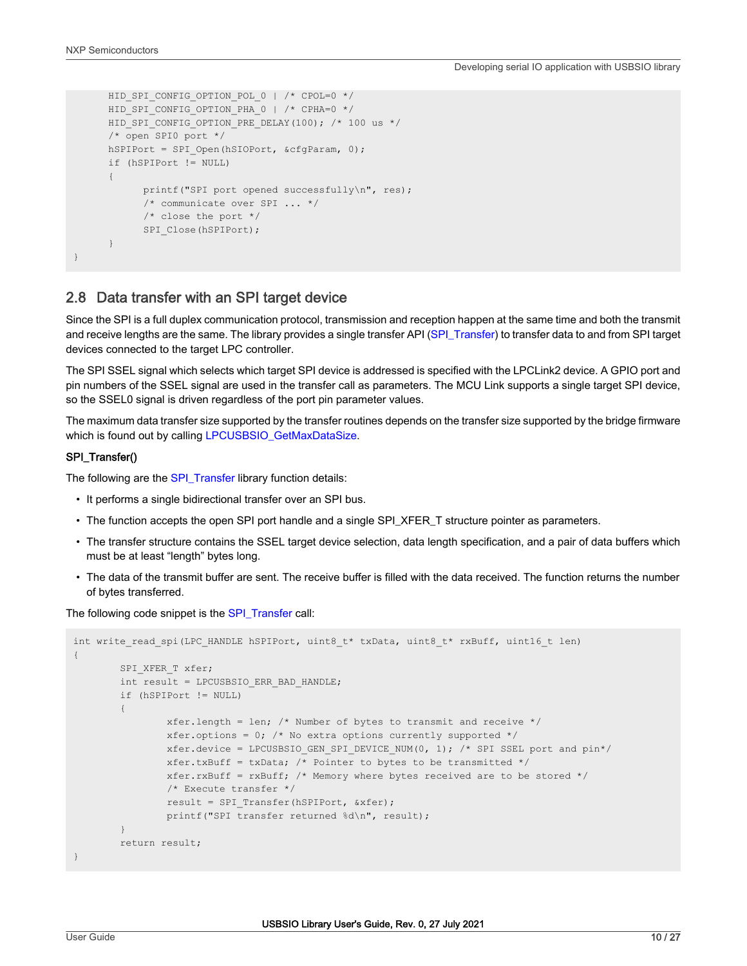```
HID SPI CONFIG OPTION POL 0 | /* CPOL=0 */
HID SPI CONFIG OPTION PHA 0 | /* CPHA=0 */
HID SPI CONFIG OPTION PRE DELAY(100); /* 100 us */
 /* open SPI0 port */
hSPIPort = SPI Open(hSIOPort, &cfgParam, 0);
 if (hSPIPort != NULL)
 {
       printf("SPI port opened successfully\n", res);
       /* communicate over SPI ... */
       /* close the port */
      SPI Close(hSPIPort);
 }
```
# 2.8 Data transfer with an SPI target device

Since the SPI is a full duplex communication protocol, transmission and reception happen at the same time and both the transmit and receive lengths are the same. The library provides a single transfer API [\(SPI\\_Transfer\)](#page-19-0) to transfer data to and from SPI target devices connected to the target LPC controller.

The SPI SSEL signal which selects which target SPI device is addressed is specified with the LPCLink2 device. A GPIO port and pin numbers of the SSEL signal are used in the transfer call as parameters. The MCU Link supports a single target SPI device, so the SSEL0 signal is driven regardless of the port pin parameter values.

The maximum data transfer size supported by the transfer routines depends on the transfer size supported by the bridge firmware which is found out by calling [LPCUSBSIO\\_GetMaxDataSize.](#page-14-0)

#### SPI\_Transfer()

}

The following are the [SPI\\_Transfer](#page-19-0) library function details:

- It performs a single bidirectional transfer over an SPI bus.
- The function accepts the open SPI port handle and a single SPI\_XFER\_T structure pointer as parameters.
- The transfer structure contains the SSEL target device selection, data length specification, and a pair of data buffers which must be at least "length" bytes long.
- The data of the transmit buffer are sent. The receive buffer is filled with the data received. The function returns the number of bytes transferred.

The following code snippet is the [SPI\\_Transfer](#page-19-0) call:

```
int write read spi(LPC HANDLE hSPIPort, uint8 t* txData, uint8 t* rxBuff, uint16 t len)
{
           SPI XFER T xfer;
           int result = LPCUSBSIO ERR BAD HANDLE;
            if (hSPIPort != NULL)
\left\{ \begin{array}{cc} 0 & 0 & 0 \\ 0 & 0 & 0 \\ 0 & 0 & 0 \\ 0 & 0 & 0 \\ 0 & 0 & 0 \\ 0 & 0 & 0 \\ 0 & 0 & 0 \\ 0 & 0 & 0 \\ 0 & 0 & 0 \\ 0 & 0 & 0 \\ 0 & 0 & 0 \\ 0 & 0 & 0 \\ 0 & 0 & 0 & 0 \\ 0 & 0 & 0 & 0 \\ 0 & 0 & 0 & 0 \\ 0 & 0 & 0 & 0 & 0 \\ 0 & 0 & 0 & 0 & 0 \\ 0 & 0 & 0 & 0 & 0 \\ 0 & 0 & 0 & 0 & 0 \\ 0 & 0 xfer.length = len; /* Number of bytes to transmit and receive */
                       xfer.options = 0; /* No extra options currently supported */xfer.device = LPCUSBSIO GEN SPI DEVICE NUM(0, 1); /* SPI SSEL port and pin*/
                       xfer.txBuff = txData; /* Pointer to bytes to be transmitted */xfer.rxBuff = rxBuff; /* Memory where bytes received are to be stored */
                        /* Execute transfer */
                        result = SPI_Transfer(hSPIPort, &xfer);
                        printf("SPI transfer returned %d\n", result);
 }
            return result;
}
```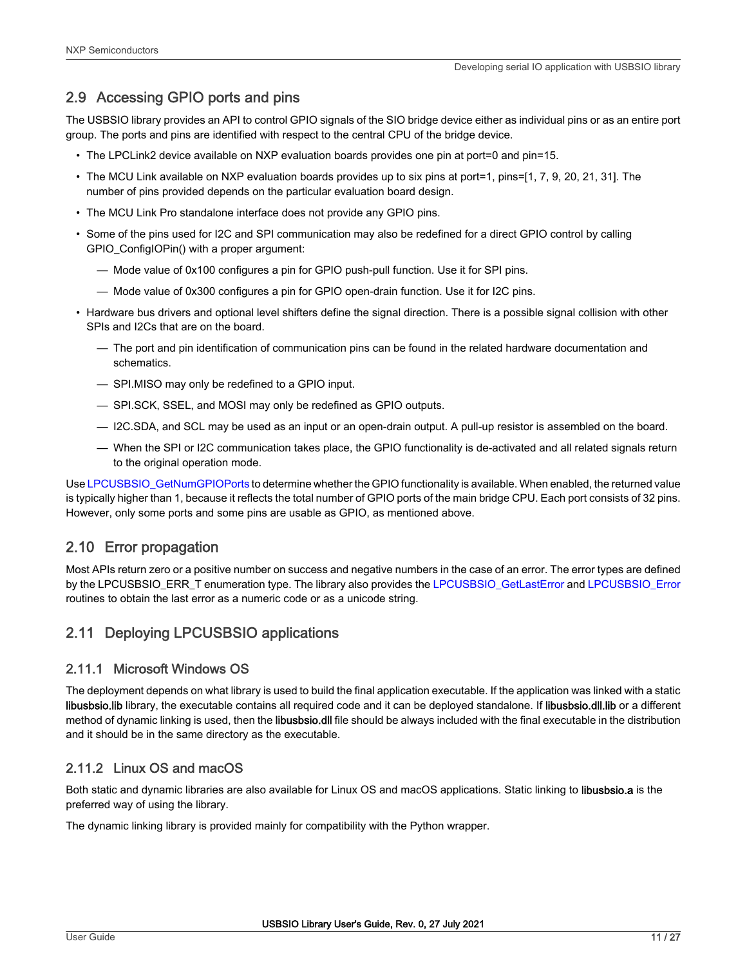# <span id="page-10-0"></span>2.9 Accessing GPIO ports and pins

The USBSIO library provides an API to control GPIO signals of the SIO bridge device either as individual pins or as an entire port group. The ports and pins are identified with respect to the central CPU of the bridge device.

- The LPCLink2 device available on NXP evaluation boards provides one pin at port=0 and pin=15.
- The MCU Link available on NXP evaluation boards provides up to six pins at port=1, pins=[1, 7, 9, 20, 21, 31]. The number of pins provided depends on the particular evaluation board design.
- The MCU Link Pro standalone interface does not provide any GPIO pins.
- Some of the pins used for I2C and SPI communication may also be redefined for a direct GPIO control by calling GPIO\_ConfigIOPin() with a proper argument:
	- Mode value of 0x100 configures a pin for GPIO push-pull function. Use it for SPI pins.
	- Mode value of 0x300 configures a pin for GPIO open-drain function. Use it for I2C pins.
- Hardware bus drivers and optional level shifters define the signal direction. There is a possible signal collision with other SPIs and I2Cs that are on the board.
	- The port and pin identification of communication pins can be found in the related hardware documentation and schematics.
	- SPI.MISO may only be redefined to a GPIO input.
	- SPI.SCK, SSEL, and MOSI may only be redefined as GPIO outputs.
	- I2C.SDA, and SCL may be used as an input or an open-drain output. A pull-up resistor is assembled on the board.
	- When the SPI or I2C communication takes place, the GPIO functionality is de-activated and all related signals return to the original operation mode.

Use [LPCUSBSIO\\_GetNumGPIOPorts](#page-14-0) to determine whether the GPIO functionality is available. When enabled, the returned value is typically higher than 1, because it reflects the total number of GPIO ports of the main bridge CPU. Each port consists of 32 pins. However, only some ports and some pins are usable as GPIO, as mentioned above.

# 2.10 Error propagation

Most APIs return zero or a positive number on success and negative numbers in the case of an error. The error types are defined by the LPCUSBSIO\_ERR\_T enumeration type. The library also provides the [LPCUSBSIO\\_GetLastError](#page-15-0) and [LPCUSBSIO\\_Error](#page-15-0) routines to obtain the last error as a numeric code or as a unicode string.

# 2.11 Deploying LPCUSBSIO applications

# 2.11.1 Microsoft Windows OS

The deployment depends on what library is used to build the final application executable. If the application was linked with a static libusbsio.lib library, the executable contains all required code and it can be deployed standalone. If libusbsio.dll.lib or a different method of dynamic linking is used, then the libusbsio.dll file should be always included with the final executable in the distribution and it should be in the same directory as the executable.

# 2.11.2 Linux OS and macOS

Both static and dynamic libraries are also available for Linux OS and macOS applications. Static linking to libusbsio.a is the preferred way of using the library.

The dynamic linking library is provided mainly for compatibility with the Python wrapper.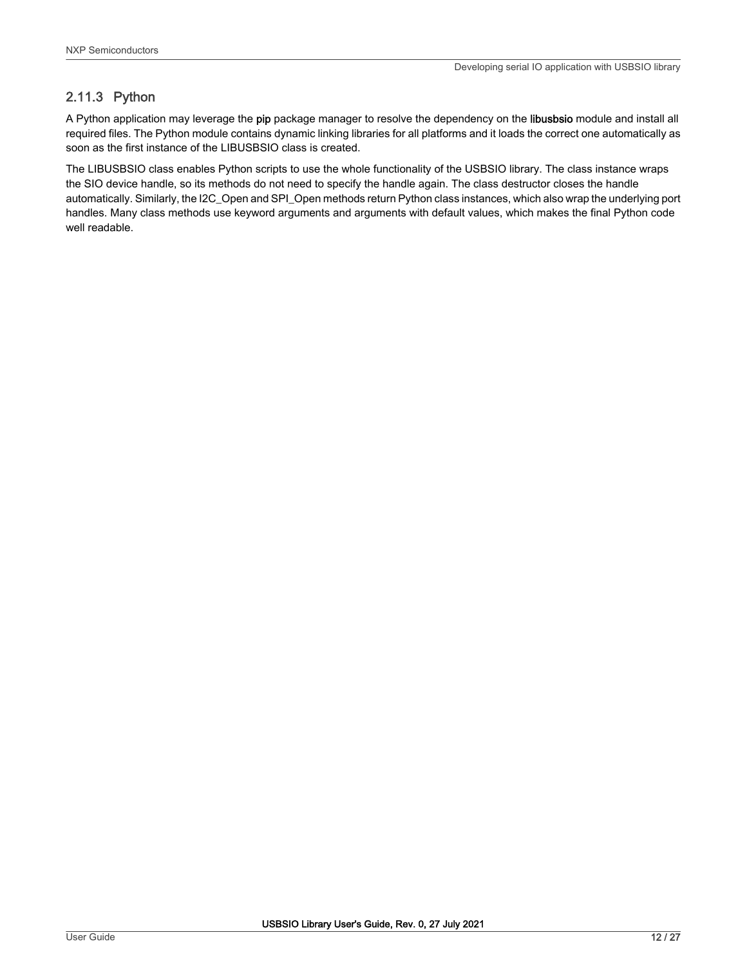# 2.11.3 Python

A Python application may leverage the pip package manager to resolve the dependency on the libusbsio module and install all required files. The Python module contains dynamic linking libraries for all platforms and it loads the correct one automatically as soon as the first instance of the LIBUSBSIO class is created.

The LIBUSBSIO class enables Python scripts to use the whole functionality of the USBSIO library. The class instance wraps the SIO device handle, so its methods do not need to specify the handle again. The class destructor closes the handle automatically. Similarly, the I2C\_Open and SPI\_Open methods return Python class instances, which also wrap the underlying port handles. Many class methods use keyword arguments and arguments with default values, which makes the final Python code well readable.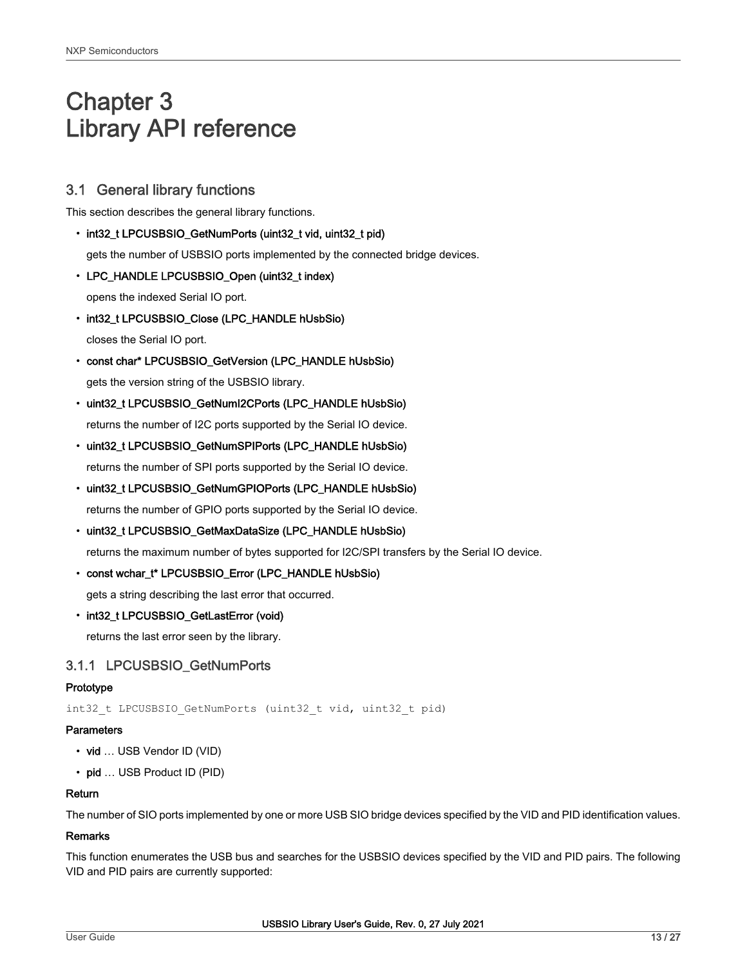# <span id="page-12-0"></span>Chapter 3 Library API reference

# 3.1 General library functions

This section describes the general library functions.

• int32\_t LPCUSBSIO\_GetNumPorts (uint32\_t vid, uint32\_t pid)

gets the number of USBSIO ports implemented by the connected bridge devices.

• LPC\_HANDLE LPCUSBSIO\_Open (uint32\_t index)

opens the indexed Serial IO port.

• int32\_t LPCUSBSIO\_Close (LPC\_HANDLE hUsbSio)

closes the Serial IO port.

- const char\* LPCUSBSIO\_GetVersion (LPC\_HANDLE hUsbSio) gets the version string of the USBSIO library.
- uint32\_t LPCUSBSIO\_GetNumI2CPorts (LPC\_HANDLE hUsbSio)

returns the number of I2C ports supported by the Serial IO device.

• uint32\_t LPCUSBSIO\_GetNumSPIPorts (LPC\_HANDLE hUsbSio)

returns the number of SPI ports supported by the Serial IO device.

• uint32\_t LPCUSBSIO\_GetNumGPIOPorts (LPC\_HANDLE hUsbSio)

returns the number of GPIO ports supported by the Serial IO device.

• uint32\_t LPCUSBSIO\_GetMaxDataSize (LPC\_HANDLE hUsbSio)

returns the maximum number of bytes supported for I2C/SPI transfers by the Serial IO device.

• const wchar\_t\* LPCUSBSIO\_Error (LPC\_HANDLE hUsbSio)

gets a string describing the last error that occurred.

• int32\_t LPCUSBSIO\_GetLastError (void)

returns the last error seen by the library.

# 3.1.1 LPCUSBSIO\_GetNumPorts

## **Prototype**

int32 t LPCUSBSIO GetNumPorts (uint32 t vid, uint32 t pid)

#### **Parameters**

- vid … USB Vendor ID (VID)
- pid ... USB Product ID (PID)

#### Return

The number of SIO ports implemented by one or more USB SIO bridge devices specified by the VID and PID identification values.

## Remarks

This function enumerates the USB bus and searches for the USBSIO devices specified by the VID and PID pairs. The following VID and PID pairs are currently supported: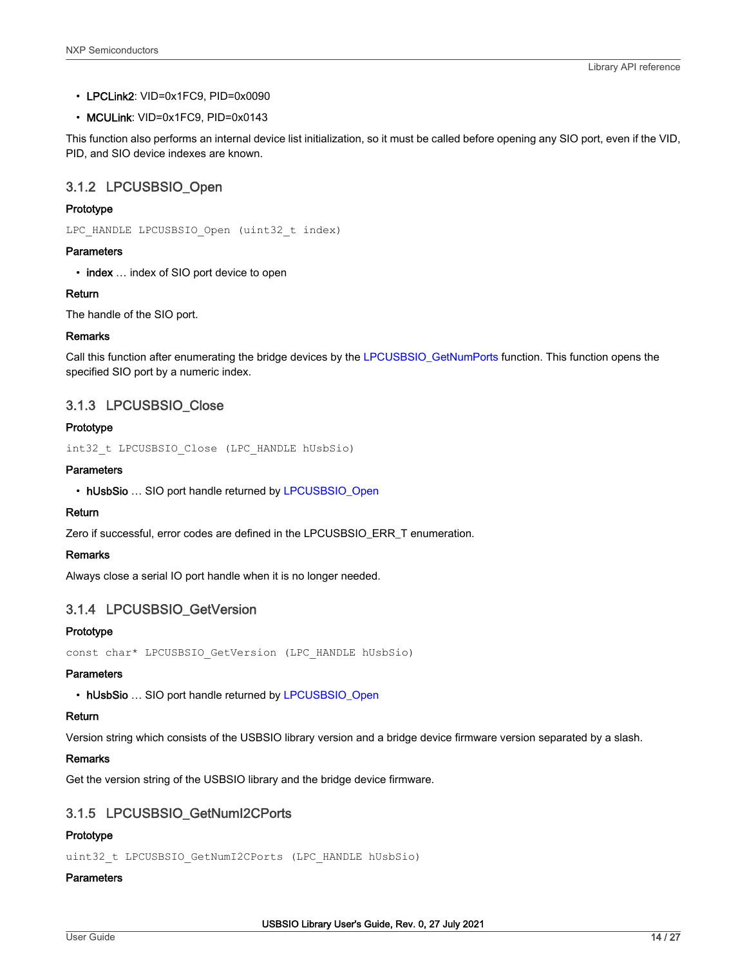- <span id="page-13-0"></span>• LPCLink2: VID=0x1FC9, PID=0x0090
- MCULink: VID=0x1FC9, PID=0x0143

This function also performs an internal device list initialization, so it must be called before opening any SIO port, even if the VID, PID, and SIO device indexes are known.

# 3.1.2 LPCUSBSIO\_Open

## Prototype

LPC HANDLE LPCUSBSIO Open (uint32 t index)

## **Parameters**

• index ... index of SIO port device to open

## Return

The handle of the SIO port.

## Remarks

Call this function after enumerating the bridge devices by the [LPCUSBSIO\\_GetNumPorts](#page-12-0) function. This function opens the specified SIO port by a numeric index.

# 3.1.3 LPCUSBSIO\_Close

## Prototype

int32\_t LPCUSBSIO\_Close (LPC\_HANDLE hUsbSio)

## **Parameters**

```
• hUsbSio ... SIO port handle returned by LPCUSBSIO_Open
```
## Return

Zero if successful, error codes are defined in the LPCUSBSIO\_ERR\_T enumeration.

## Remarks

Always close a serial IO port handle when it is no longer needed.

# 3.1.4 LPCUSBSIO\_GetVersion

## Prototype

```
const char* LPCUSBSIO_GetVersion (LPC_HANDLE hUsbSio)
```
## **Parameters**

• hUsbSio ... SIO port handle returned by LPCUSBSIO\_Open

## Return

Version string which consists of the USBSIO library version and a bridge device firmware version separated by a slash.

## Remarks

Get the version string of the USBSIO library and the bridge device firmware.

# 3.1.5 LPCUSBSIO\_GetNumI2CPorts

# Prototype

uint32 t LPCUSBSIO GetNumI2CPorts (LPC HANDLE hUsbSio)

## **Parameters**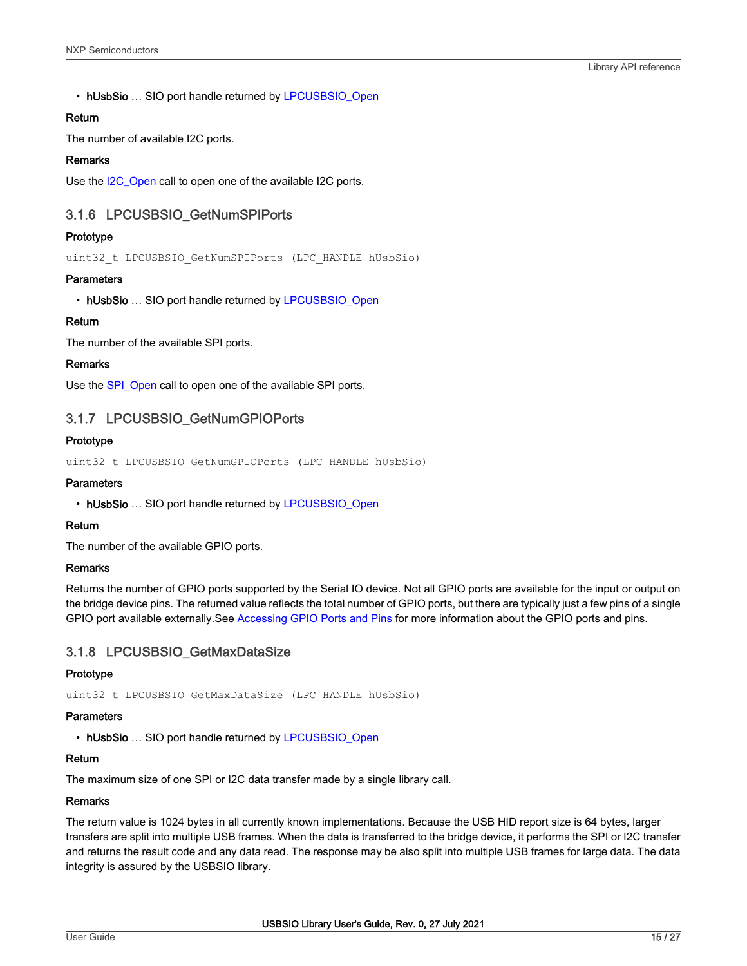<span id="page-14-0"></span>• hUsbSio ... SIO port handle returned by [LPCUSBSIO\\_Open](#page-13-0)

## Return

The number of available I2C ports.

## Remarks

Use the I2C Open call to open one of the available I2C ports.

## 3.1.6 LPCUSBSIO\_GetNumSPIPorts

## Prototype

uint32 t LPCUSBSIO GetNumSPIPorts (LPC HANDLE hUsbSio)

## **Parameters**

• hUsbSio ... SIO port handle returned by [LPCUSBSIO\\_Open](#page-13-0)

## Return

The number of the available SPI ports.

#### Remarks

Use the [SPI\\_Open](#page-18-0) call to open one of the available SPI ports.

# 3.1.7 LPCUSBSIO\_GetNumGPIOPorts

## Prototype

uint32 t LPCUSBSIO GetNumGPIOPorts (LPC HANDLE hUsbSio)

## **Parameters**

• hUsbSio ... SIO port handle returned by [LPCUSBSIO\\_Open](#page-13-0)

## Return

The number of the available GPIO ports.

#### Remarks

Returns the number of GPIO ports supported by the Serial IO device. Not all GPIO ports are available for the input or output on the bridge device pins. The returned value reflects the total number of GPIO ports, but there are typically just a few pins of a single GPIO port available externally.See [Accessing GPIO Ports and Pins](#page-10-0) for more information about the GPIO ports and pins.

## 3.1.8 LPCUSBSIO\_GetMaxDataSize

## Prototype

uint32 t LPCUSBSIO GetMaxDataSize (LPC HANDLE hUsbSio)

#### **Parameters**

• hUsbSio ... SIO port handle returned by [LPCUSBSIO\\_Open](#page-13-0)

## Return

The maximum size of one SPI or I2C data transfer made by a single library call.

#### Remarks

The return value is 1024 bytes in all currently known implementations. Because the USB HID report size is 64 bytes, larger transfers are split into multiple USB frames. When the data is transferred to the bridge device, it performs the SPI or I2C transfer and returns the result code and any data read. The response may be also split into multiple USB frames for large data. The data integrity is assured by the USBSIO library.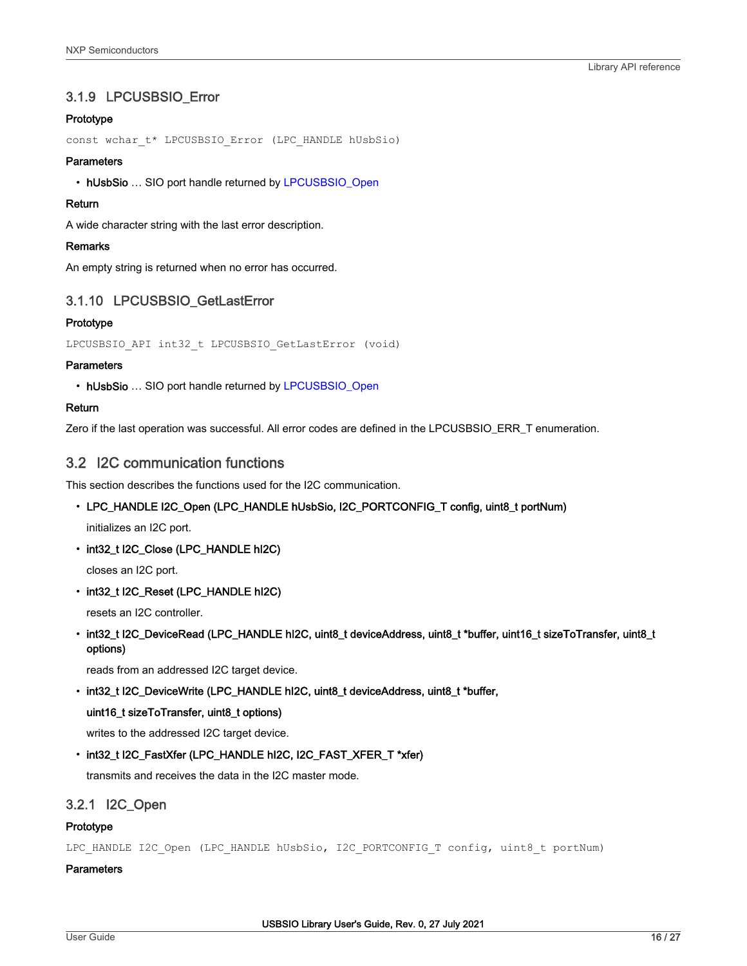# <span id="page-15-0"></span>3.1.9 LPCUSBSIO\_Error

## Prototype

const wchar\_t\* LPCUSBSIO\_Error (LPC\_HANDLE hUsbSio)

## **Parameters**

• hUsbSio ... SIO port handle returned by [LPCUSBSIO\\_Open](#page-13-0)

## Return

A wide character string with the last error description.

## Remarks

An empty string is returned when no error has occurred.

# 3.1.10 LPCUSBSIO\_GetLastError

## Prototype

LPCUSBSIO API int32 t LPCUSBSIO GetLastError (void)

## **Parameters**

• hUsbSio ... SIO port handle returned by [LPCUSBSIO\\_Open](#page-13-0)

## Return

Zero if the last operation was successful. All error codes are defined in the LPCUSBSIO\_ERR\_T enumeration.

# 3.2 I2C communication functions

This section describes the functions used for the I2C communication.

• LPC\_HANDLE I2C\_Open (LPC\_HANDLE hUsbSio, I2C\_PORTCONFIG\_T config, uint8\_t portNum)

initializes an I2C port.

• int32\_t I2C\_Close (LPC\_HANDLE hI2C)

closes an I2C port.

• int32\_t I2C\_Reset (LPC\_HANDLE hI2C)

resets an I2C controller.

• int32\_t I2C\_DeviceRead (LPC\_HANDLE hI2C, uint8\_t deviceAddress, uint8\_t \*buffer, uint16\_t sizeToTransfer, uint8\_t options)

reads from an addressed I2C target device.

• int32\_t I2C\_DeviceWrite (LPC\_HANDLE hI2C, uint8\_t deviceAddress, uint8\_t \*buffer,

## uint16\_t sizeToTransfer, uint8\_t options)

writes to the addressed I2C target device.

• int32\_t I2C\_FastXfer (LPC\_HANDLE hI2C, I2C\_FAST\_XFER\_T \*xfer)

transmits and receives the data in the I2C master mode.

## 3.2.1 I2C\_Open

#### Prototype

LPC HANDLE I2C Open (LPC HANDLE hUsbSio, I2C PORTCONFIG T config, uint8 t portNum)

#### **Parameters**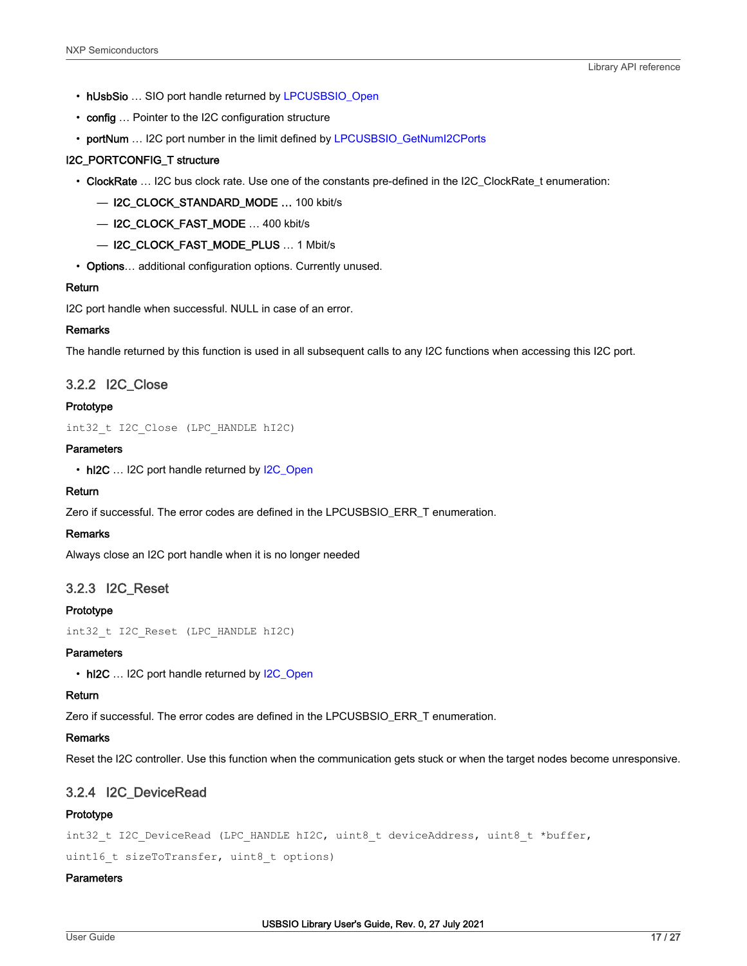- <span id="page-16-0"></span>• hUsbSio ... SIO port handle returned by [LPCUSBSIO\\_Open](#page-13-0)
- config ... Pointer to the I2C configuration structure
- portNum ... I2C port number in the limit defined by [LPCUSBSIO\\_GetNumI2CPorts](#page-13-0)

#### I2C\_PORTCONFIG\_T structure

- ClockRate … I2C bus clock rate. Use one of the constants pre-defined in the I2C\_ClockRate\_t enumeration:
	- I2C\_CLOCK\_STANDARD\_MODE … 100 kbit/s
	- I2C\_CLOCK\_FAST\_MODE … 400 kbit/s
	- I2C\_CLOCK\_FAST\_MODE\_PLUS … 1 Mbit/s
- Options... additional configuration options. Currently unused.

#### Return

I2C port handle when successful. NULL in case of an error.

## **Remarks**

The handle returned by this function is used in all subsequent calls to any I2C functions when accessing this I2C port.

## 3.2.2 I2C\_Close

#### Prototype

int32\_t I2C\_Close (LPC\_HANDLE hI2C)

## **Parameters**

• hI2C ... I2C port handle returned by [I2C\\_Open](#page-15-0)

#### Return

Zero if successful. The error codes are defined in the LPCUSBSIO\_ERR\_T enumeration.

#### Remarks

Always close an I2C port handle when it is no longer needed

## 3.2.3 I2C\_Reset

#### Prototype

int32\_t I2C\_Reset (LPC\_HANDLE hI2C)

#### **Parameters**

• hI2C ... I2C port handle returned by I2C Open

#### Return

Zero if successful. The error codes are defined in the LPCUSBSIO\_ERR\_T enumeration.

#### Remarks

Reset the I2C controller. Use this function when the communication gets stuck or when the target nodes become unresponsive.

## 3.2.4 I2C\_DeviceRead

#### Prototype

```
int32_t I2C_DeviceRead (LPC_HANDLE hI2C, uint8_t deviceAddress, uint8_t *buffer,
```
uint16 t sizeToTransfer, uint8 t options)

#### **Parameters**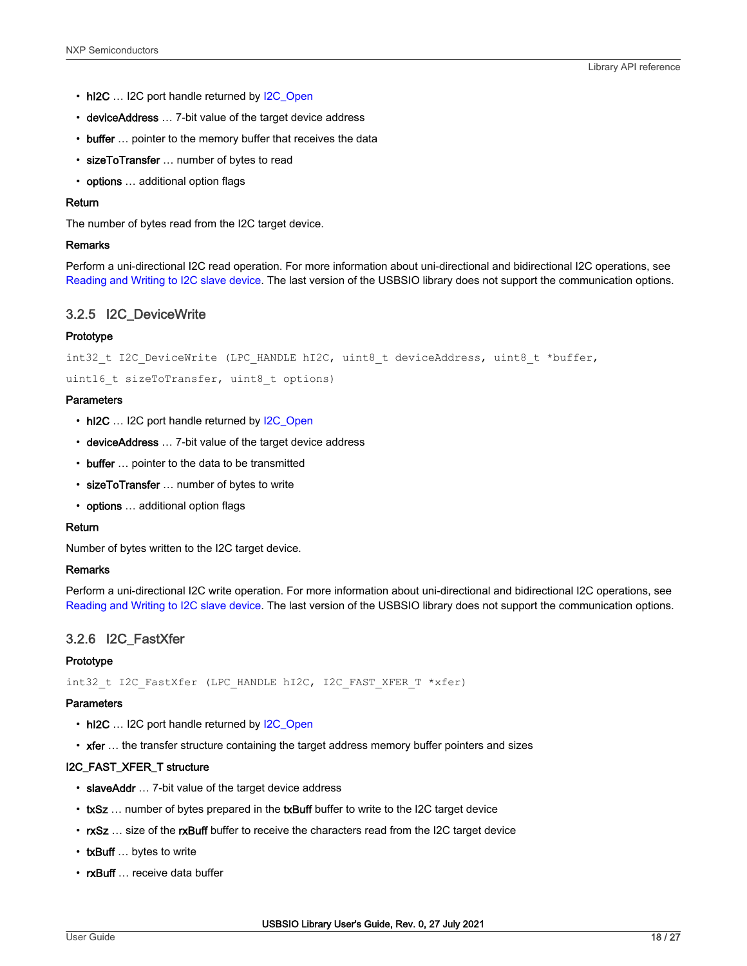- <span id="page-17-0"></span>• hI2C ... I2C port handle returned by [I2C\\_Open](#page-15-0)
- deviceAddress ... 7-bit value of the target device address
- buffer ... pointer to the memory buffer that receives the data
- sizeToTransfer ... number of bytes to read
- options ... additional option flags

#### Return

The number of bytes read from the I2C target device.

#### Remarks

Perform a uni-directional I2C read operation. For more information about uni-directional and bidirectional I2C operations, see [Reading and Writing to I2C slave device](#page-6-0). The last version of the USBSIO library does not support the communication options.

## 3.2.5 I2C\_DeviceWrite

#### Prototype

```
int32 t I2C DeviceWrite (LPC HANDLE hI2C, uint8 t deviceAddress, uint8 t *buffer,
```
uint16 t sizeToTransfer, uint8 t options)

#### **Parameters**

- hI2C ... I2C port handle returned by [I2C\\_Open](#page-15-0)
- deviceAddress … 7-bit value of the target device address
- buffer ... pointer to the data to be transmitted
- sizeToTransfer ... number of bytes to write
- options ... additional option flags

#### Return

Number of bytes written to the I2C target device.

#### Remarks

Perform a uni-directional I2C write operation. For more information about uni-directional and bidirectional I2C operations, see [Reading and Writing to I2C slave device](#page-6-0). The last version of the USBSIO library does not support the communication options.

## 3.2.6 I2C\_FastXfer

#### **Prototype**

int32 t I2C FastXfer (LPC HANDLE hI2C, I2C FAST XFER T \*xfer)

#### **Parameters**

- hI2C ... I2C port handle returned by [I2C\\_Open](#page-15-0)
- xfer ... the transfer structure containing the target address memory buffer pointers and sizes

#### I2C\_FAST\_XFER\_T structure

- slaveAddr ... 7-bit value of the target device address
- txSz ... number of bytes prepared in the txBuff buffer to write to the I2C target device
- rxSz ... size of the rxBuff buffer to receive the characters read from the I2C target device
- txBuff ... bytes to write
- rxBuff ... receive data buffer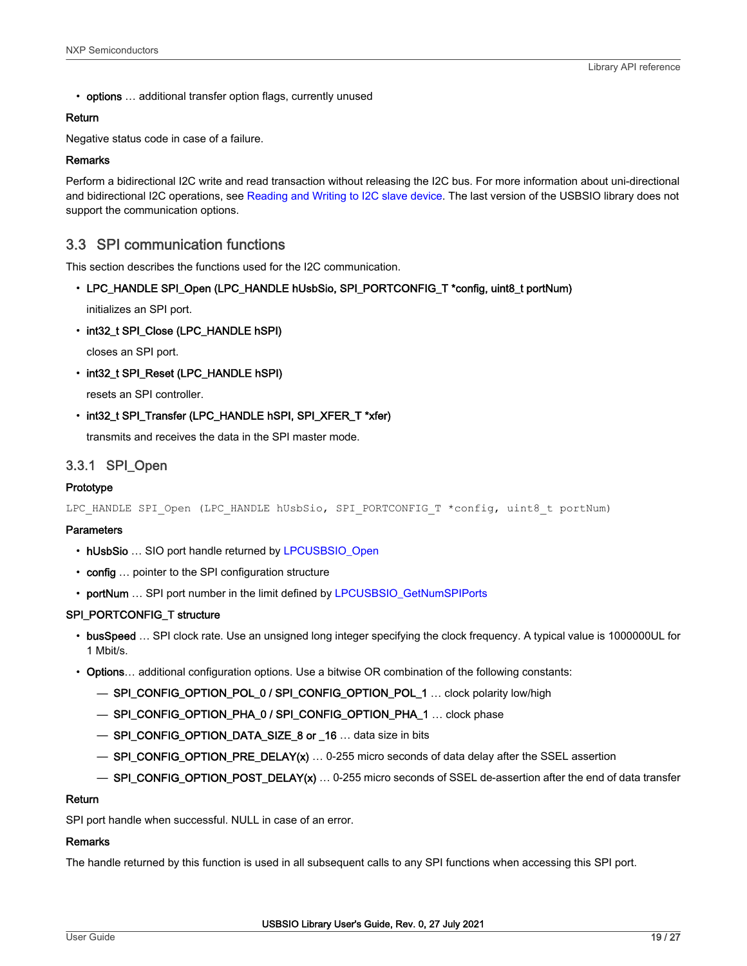<span id="page-18-0"></span>• options ... additional transfer option flags, currently unused

## Return

Negative status code in case of a failure.

#### Remarks

Perform a bidirectional I2C write and read transaction without releasing the I2C bus. For more information about uni-directional and bidirectional I2C operations, see [Reading and Writing to I2C slave device.](#page-6-0) The last version of the USBSIO library does not support the communication options.

# 3.3 SPI communication functions

This section describes the functions used for the I2C communication.

• LPC\_HANDLE SPI\_Open (LPC\_HANDLE hUsbSio, SPI\_PORTCONFIG\_T \*config, uint8\_t portNum)

initializes an SPI port.

• int32\_t SPI\_Close (LPC\_HANDLE hSPI)

closes an SPI port.

• int32\_t SPI\_Reset (LPC\_HANDLE hSPI)

resets an SPI controller.

• int32\_t SPI\_Transfer (LPC\_HANDLE hSPI, SPI\_XFER\_T \*xfer)

transmits and receives the data in the SPI master mode.

## 3.3.1 SPI\_Open

#### Prototype

LPC\_HANDLE SPI\_Open (LPC\_HANDLE hUsbSio, SPI\_PORTCONFIG\_T \*config, uint8\_t portNum)

## **Parameters**

- hUsbSio ... SIO port handle returned by [LPCUSBSIO\\_Open](#page-13-0)
- config ... pointer to the SPI configuration structure
- portNum ... SPI port number in the limit defined by [LPCUSBSIO\\_GetNumSPIPorts](#page-14-0)

#### SPI\_PORTCONFIG\_T structure

- busSpeed … SPI clock rate. Use an unsigned long integer specifying the clock frequency. A typical value is 1000000UL for 1 Mbit/s.
- Options… additional configuration options. Use a bitwise OR combination of the following constants:
	- SPI\_CONFIG\_OPTION\_POL\_0 / SPI\_CONFIG\_OPTION\_POL\_1 … clock polarity low/high
	- SPI\_CONFIG\_OPTION\_PHA\_0 / SPI\_CONFIG\_OPTION\_PHA\_1 … clock phase
	- SPI\_CONFIG\_OPTION\_DATA\_SIZE\_8 or \_16 … data size in bits
	- SPI\_CONFIG\_OPTION\_PRE\_DELAY(x) … 0-255 micro seconds of data delay after the SSEL assertion
	- SPI\_CONFIG\_OPTION\_POST\_DELAY(x) … 0-255 micro seconds of SSEL de-assertion after the end of data transfer

## Return

SPI port handle when successful. NULL in case of an error.

### **Remarks**

The handle returned by this function is used in all subsequent calls to any SPI functions when accessing this SPI port.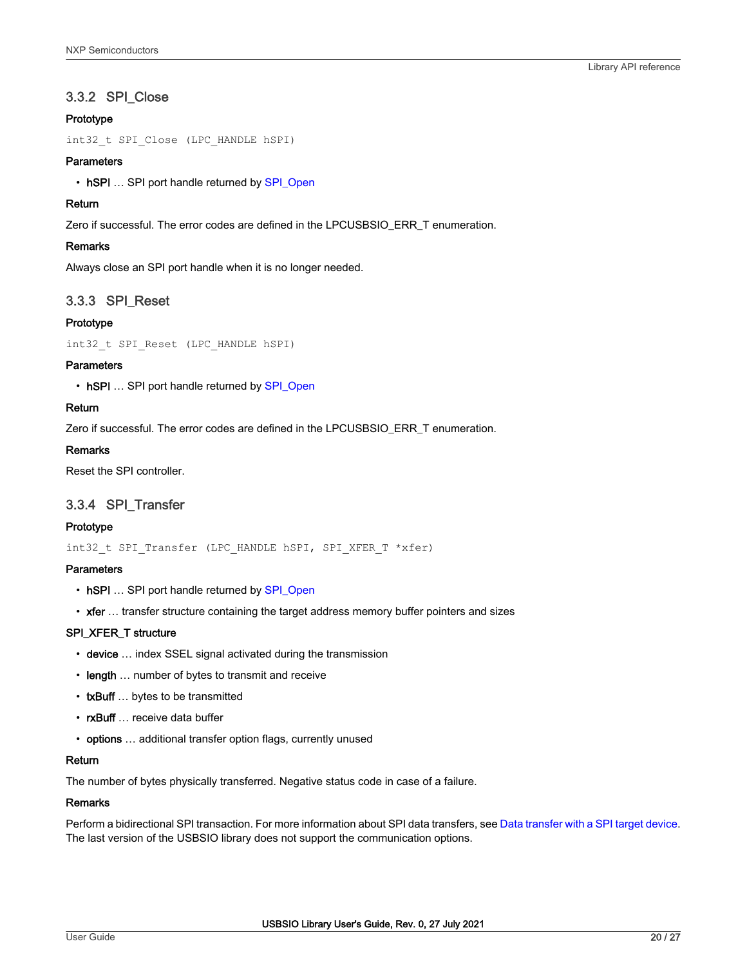# <span id="page-19-0"></span>3.3.2 SPI\_Close

## Prototype

int32\_t SPI\_Close (LPC\_HANDLE hSPI)

## **Parameters**

• hSPI ... SPI port handle returned by [SPI\\_Open](#page-18-0)

## Return

Zero if successful. The error codes are defined in the LPCUSBSIO\_ERR\_T enumeration.

## **Remarks**

Always close an SPI port handle when it is no longer needed.

## 3.3.3 SPI\_Reset

## Prototype

int32\_t SPI\_Reset (LPC\_HANDLE hSPI)

#### **Parameters**

• hSPI ... SPI port handle returned by [SPI\\_Open](#page-18-0)

## Return

Zero if successful. The error codes are defined in the LPCUSBSIO\_ERR\_T enumeration.

## Remarks

Reset the SPI controller.

## 3.3.4 SPI\_Transfer

#### Prototype

int32\_t SPI\_Transfer (LPC\_HANDLE hSPI, SPI\_XFER\_T \*xfer)

### **Parameters**

- hSPI ... SPI port handle returned by [SPI\\_Open](#page-18-0)
- xfer ... transfer structure containing the target address memory buffer pointers and sizes

## SPI\_XFER\_T structure

- device ... index SSEL signal activated during the transmission
- length ... number of bytes to transmit and receive
- txBuff ... bytes to be transmitted
- rxBuff ... receive data buffer
- options … additional transfer option flags, currently unused

## Return

The number of bytes physically transferred. Negative status code in case of a failure.

#### Remarks

Perform a bidirectional SPI transaction. For more information about SPI data transfers, see [Data transfer with a SPI target device](#page-9-0). The last version of the USBSIO library does not support the communication options.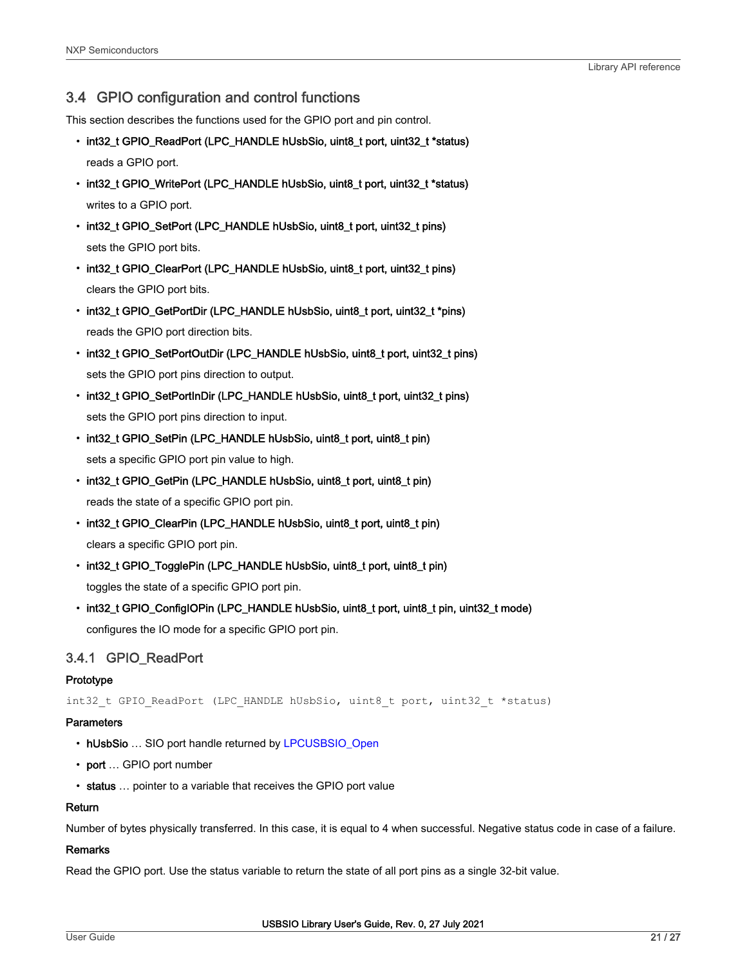# 3.4 GPIO configuration and control functions

This section describes the functions used for the GPIO port and pin control.

• int32\_t GPIO\_ReadPort (LPC\_HANDLE hUsbSio, uint8\_t port, uint32\_t \*status)

reads a GPIO port.

- int32\_t GPIO\_WritePort (LPC\_HANDLE hUsbSio, uint8\_t port, uint32\_t \*status) writes to a GPIO port.
- int32\_t GPIO\_SetPort (LPC\_HANDLE hUsbSio, uint8\_t port, uint32\_t pins) sets the GPIO port bits.
- int32\_t GPIO\_ClearPort (LPC\_HANDLE hUsbSio, uint8\_t port, uint32\_t pins) clears the GPIO port bits.
- int32\_t GPIO\_GetPortDir (LPC\_HANDLE hUsbSio, uint8\_t port, uint32\_t \*pins) reads the GPIO port direction bits.
- int32\_t GPIO\_SetPortOutDir (LPC\_HANDLE hUsbSio, uint8\_t port, uint32\_t pins) sets the GPIO port pins direction to output.
- int32\_t GPIO\_SetPortInDir (LPC\_HANDLE hUsbSio, uint8\_t port, uint32\_t pins) sets the GPIO port pins direction to input.
- int32\_t GPIO\_SetPin (LPC\_HANDLE hUsbSio, uint8\_t port, uint8\_t pin) sets a specific GPIO port pin value to high.
- int32\_t GPIO\_GetPin (LPC\_HANDLE hUsbSio, uint8\_t port, uint8\_t pin) reads the state of a specific GPIO port pin.
- int32\_t GPIO\_ClearPin (LPC\_HANDLE hUsbSio, uint8\_t port, uint8\_t pin) clears a specific GPIO port pin.
- int32\_t GPIO\_TogglePin (LPC\_HANDLE hUsbSio, uint8\_t port, uint8\_t pin) toggles the state of a specific GPIO port pin.
- int32\_t GPIO\_ConfigIOPin (LPC\_HANDLE hUsbSio, uint8\_t port, uint8\_t pin, uint32\_t mode) configures the IO mode for a specific GPIO port pin.

# 3.4.1 GPIO\_ReadPort

## Prototype

int32 t GPIO ReadPort (LPC HANDLE hUsbSio, uint8 t port, uint32 t \*status)

#### **Parameters**

- hUsbSio ... SIO port handle returned by [LPCUSBSIO\\_Open](#page-13-0)
- port ... GPIO port number
- status … pointer to a variable that receives the GPIO port value

#### Return

Number of bytes physically transferred. In this case, it is equal to 4 when successful. Negative status code in case of a failure.

#### Remarks

Read the GPIO port. Use the status variable to return the state of all port pins as a single 32-bit value.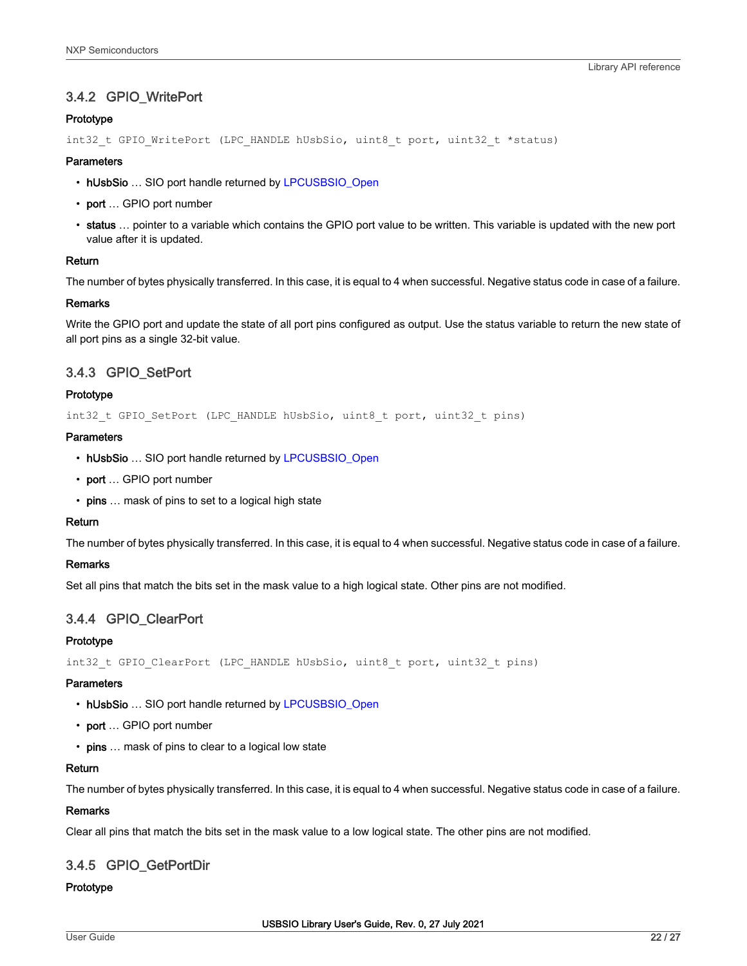# 3.4.2 GPIO\_WritePort

## Prototype

```
int32 t GPIO WritePort (LPC HANDLE hUsbSio, uint8 t port, uint32 t *status)
```
## **Parameters**

- hUsbSio … SIO port handle returned by [LPCUSBSIO\\_Open](#page-13-0)
- port ... GPIO port number
- status … pointer to a variable which contains the GPIO port value to be written. This variable is updated with the new port value after it is updated.

## Return

The number of bytes physically transferred. In this case, it is equal to 4 when successful. Negative status code in case of a failure.

## Remarks

Write the GPIO port and update the state of all port pins configured as output. Use the status variable to return the new state of all port pins as a single 32-bit value.

# 3.4.3 GPIO\_SetPort

## Prototype

int32\_t GPIO\_SetPort (LPC\_HANDLE hUsbSio, uint8\_t port, uint32\_t pins)

## **Parameters**

- hUsbSio … SIO port handle returned by [LPCUSBSIO\\_Open](#page-13-0)
- port ... GPIO port number
- pins ... mask of pins to set to a logical high state

## Return

The number of bytes physically transferred. In this case, it is equal to 4 when successful. Negative status code in case of a failure.

## Remarks

Set all pins that match the bits set in the mask value to a high logical state. Other pins are not modified.

# 3.4.4 GPIO\_ClearPort

## Prototype

int32 t GPIO ClearPort (LPC HANDLE hUsbSio, uint8 t port, uint32 t pins)

#### **Parameters**

- hUsbSio … SIO port handle returned by [LPCUSBSIO\\_Open](#page-13-0)
- port ... GPIO port number
- pins ... mask of pins to clear to a logical low state

## Return

The number of bytes physically transferred. In this case, it is equal to 4 when successful. Negative status code in case of a failure.

## Remarks

Clear all pins that match the bits set in the mask value to a low logical state. The other pins are not modified.

# 3.4.5 GPIO\_GetPortDir

#### Prototype

USBSIO Library User's Guide, Rev. 0, 27 July 2021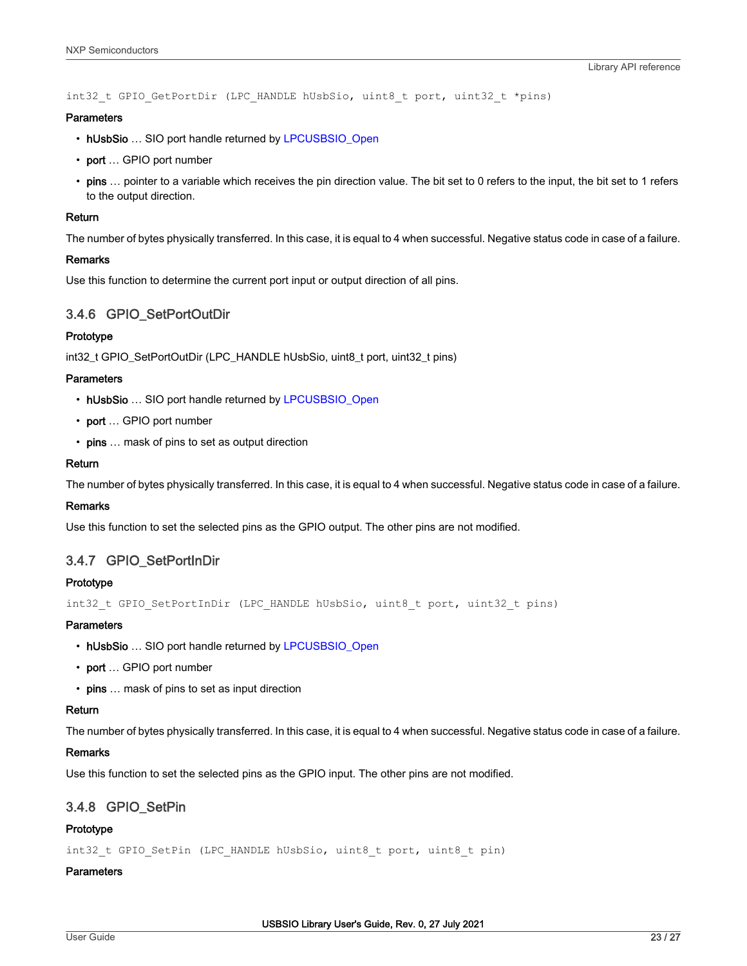int32 t GPIO GetPortDir (LPC HANDLE hUsbSio, uint8 t port, uint32 t \*pins)

#### **Parameters**

- hUsbSio ... SIO port handle returned by [LPCUSBSIO\\_Open](#page-13-0)
- port ... GPIO port number
- pins ... pointer to a variable which receives the pin direction value. The bit set to 0 refers to the input, the bit set to 1 refers to the output direction.

### Return

The number of bytes physically transferred. In this case, it is equal to 4 when successful. Negative status code in case of a failure.

#### Remarks

Use this function to determine the current port input or output direction of all pins.

## 3.4.6 GPIO\_SetPortOutDir

#### Prototype

int32\_t GPIO\_SetPortOutDir (LPC\_HANDLE hUsbSio, uint8\_t port, uint32\_t pins)

#### **Parameters**

- hUsbSio ... SIO port handle returned by [LPCUSBSIO\\_Open](#page-13-0)
- port ... GPIO port number
- pins ... mask of pins to set as output direction

#### Return

The number of bytes physically transferred. In this case, it is equal to 4 when successful. Negative status code in case of a failure.

#### Remarks

Use this function to set the selected pins as the GPIO output. The other pins are not modified.

## 3.4.7 GPIO\_SetPortInDir

#### Prototype

int32\_t GPIO\_SetPortInDir (LPC\_HANDLE hUsbSio, uint8\_t port, uint32\_t pins)

## **Parameters**

- hUsbSio ... SIO port handle returned by [LPCUSBSIO\\_Open](#page-13-0)
- port ... GPIO port number
- pins ... mask of pins to set as input direction

## Return

The number of bytes physically transferred. In this case, it is equal to 4 when successful. Negative status code in case of a failure.

### Remarks

Use this function to set the selected pins as the GPIO input. The other pins are not modified.

## 3.4.8 GPIO\_SetPin

## Prototype

int32 t GPIO SetPin (LPC HANDLE hUsbSio, uint8 t port, uint8 t pin)

## **Parameters**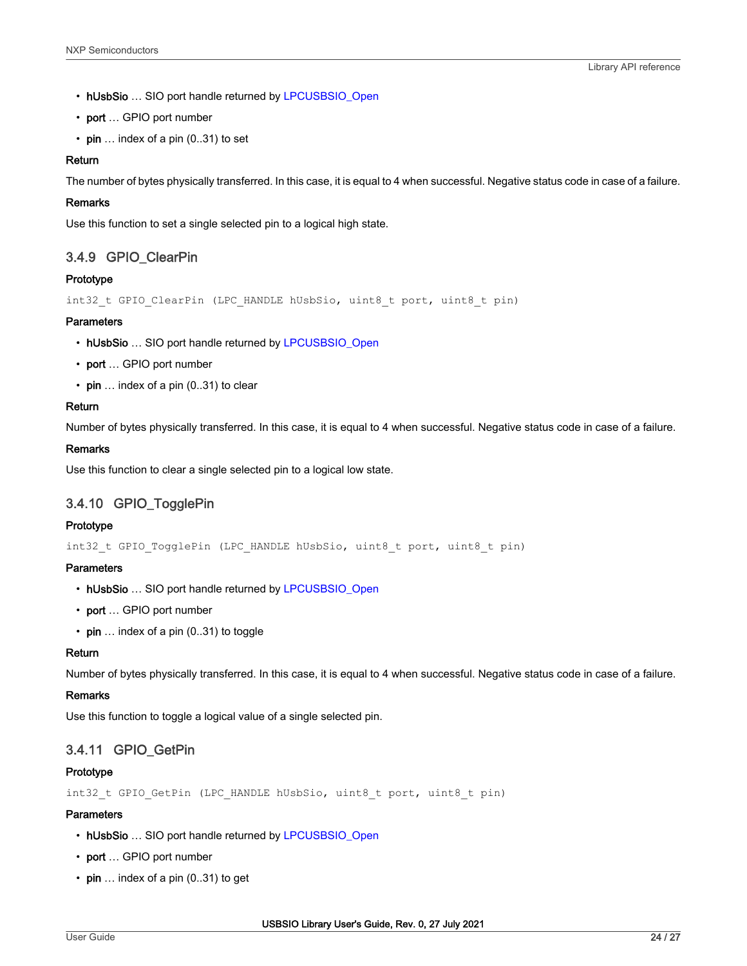- hUsbSio ... SIO port handle returned by [LPCUSBSIO\\_Open](#page-13-0)
- port … GPIO port number
- pin  $\ldots$  index of a pin (0..31) to set

## Return

The number of bytes physically transferred. In this case, it is equal to 4 when successful. Negative status code in case of a failure.

#### Remarks

Use this function to set a single selected pin to a logical high state.

# 3.4.9 GPIO\_ClearPin

## Prototype

int32 t GPIO ClearPin (LPC HANDLE hUsbSio, uint8 t port, uint8 t pin)

## **Parameters**

- hUsbSio … SIO port handle returned by [LPCUSBSIO\\_Open](#page-13-0)
- port ... GPIO port number
- $\cdot$  pin ... index of a pin (0..31) to clear

## Return

Number of bytes physically transferred. In this case, it is equal to 4 when successful. Negative status code in case of a failure.

## Remarks

Use this function to clear a single selected pin to a logical low state.

# 3.4.10 GPIO\_TogglePin

### Prototype

int32 t GPIO TogglePin (LPC HANDLE hUsbSio, uint8 t port, uint8 t pin)

#### **Parameters**

- hUsbSio ... SIO port handle returned by [LPCUSBSIO\\_Open](#page-13-0)
- port … GPIO port number
- pin  $\ldots$  index of a pin (0..31) to toggle

## Return

Number of bytes physically transferred. In this case, it is equal to 4 when successful. Negative status code in case of a failure.

#### Remarks

Use this function to toggle a logical value of a single selected pin.

## 3.4.11 GPIO\_GetPin

#### Prototype

int32 t GPIO GetPin (LPC HANDLE hUsbSio, uint8 t port, uint8 t pin)

#### **Parameters**

- hUsbSio … SIO port handle returned by [LPCUSBSIO\\_Open](#page-13-0)
- port ... GPIO port number
- $\cdot$  pin ... index of a pin (0..31) to get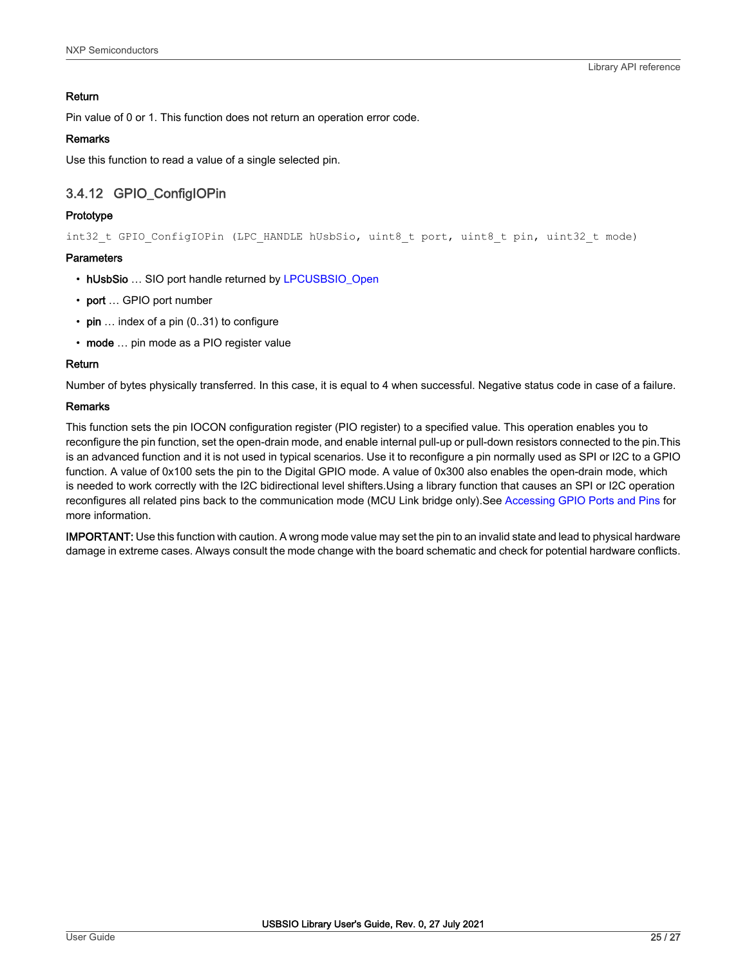## Return

Pin value of 0 or 1. This function does not return an operation error code.

## Remarks

Use this function to read a value of a single selected pin.

# 3.4.12 GPIO\_ConfigIOPin

## Prototype

int32 t GPIO ConfigIOPin (LPC HANDLE hUsbSio, uint8 t port, uint8 t pin, uint32 t mode)

## **Parameters**

- hUsbSio … SIO port handle returned by [LPCUSBSIO\\_Open](#page-13-0)
- port … GPIO port number
- pin ... index of a pin (0..31) to configure
- mode ... pin mode as a PIO register value

## Return

Number of bytes physically transferred. In this case, it is equal to 4 when successful. Negative status code in case of a failure.

## Remarks

This function sets the pin IOCON configuration register (PIO register) to a specified value. This operation enables you to reconfigure the pin function, set the open-drain mode, and enable internal pull-up or pull-down resistors connected to the pin.This is an advanced function and it is not used in typical scenarios. Use it to reconfigure a pin normally used as SPI or I2C to a GPIO function. A value of 0x100 sets the pin to the Digital GPIO mode. A value of 0x300 also enables the open-drain mode, which is needed to work correctly with the I2C bidirectional level shifters.Using a library function that causes an SPI or I2C operation reconfigures all related pins back to the communication mode (MCU Link bridge only).See [Accessing GPIO Ports and Pins](#page-10-0) for more information.

IMPORTANT: Use this function with caution. A wrong mode value may set the pin to an invalid state and lead to physical hardware damage in extreme cases. Always consult the mode change with the board schematic and check for potential hardware conflicts.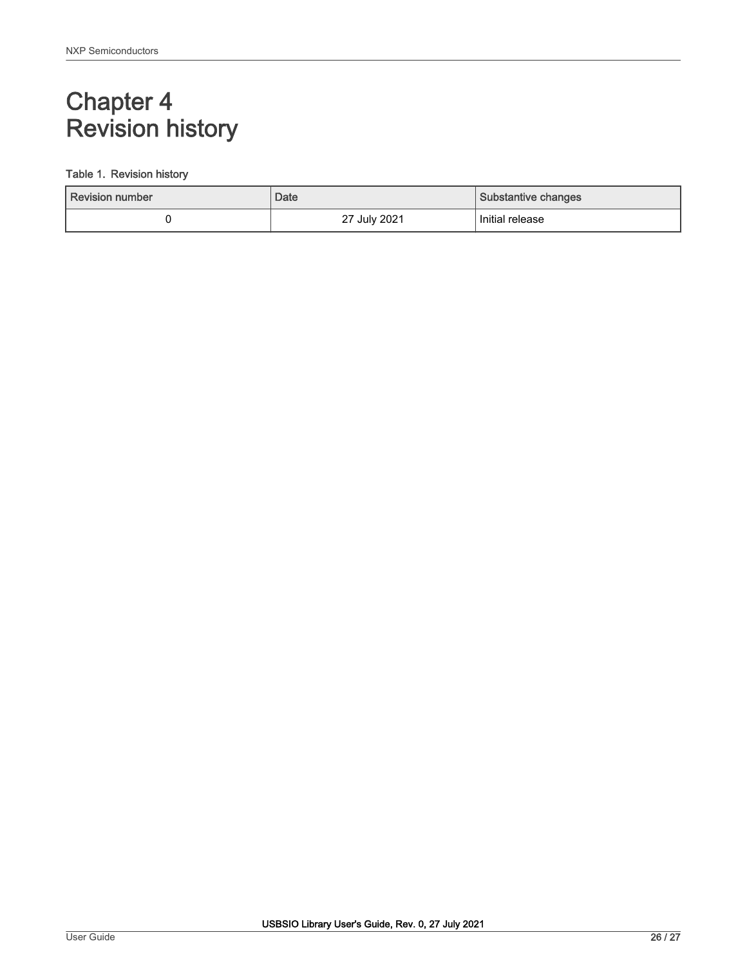# <span id="page-25-0"></span>Chapter 4 Revision history

## Table 1. Revision history

| Revision number | Date         | Substantive changes |
|-----------------|--------------|---------------------|
|                 | 27 July 2021 | Initial release     |